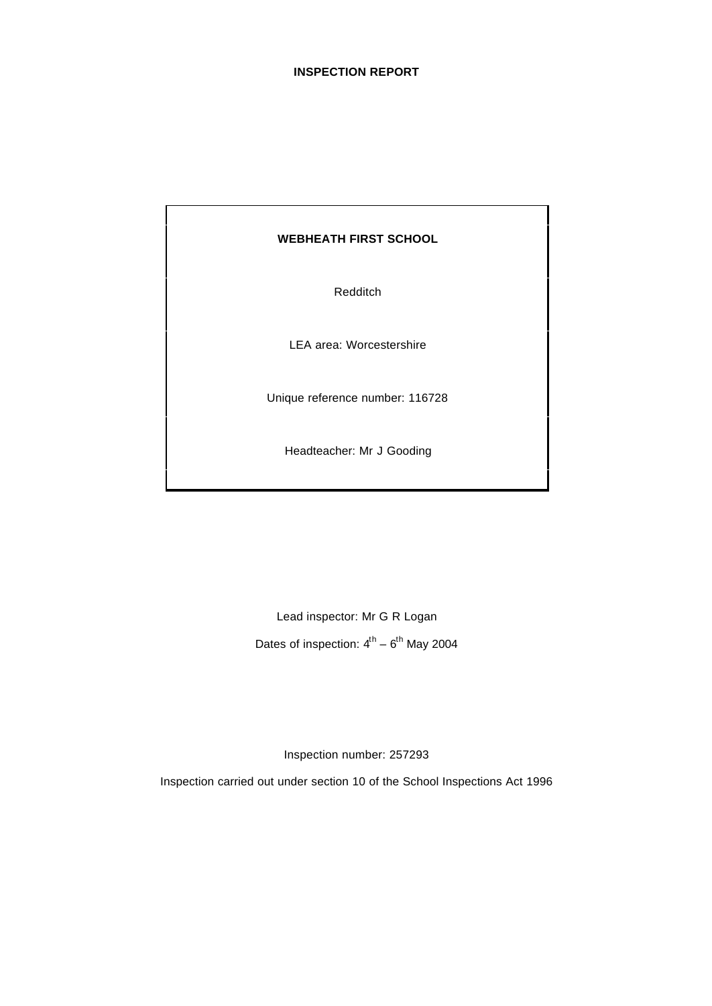#### **INSPECTION REPORT**

#### **WEBHEATH FIRST SCHOOL**

Redditch

LEA area: Worcestershire

Unique reference number: 116728

Headteacher: Mr J Gooding

Lead inspector: Mr G R Logan Dates of inspection:  $4^{\text{th}} - 6^{\text{th}}$  May 2004

Inspection number: 257293

Inspection carried out under section 10 of the School Inspections Act 1996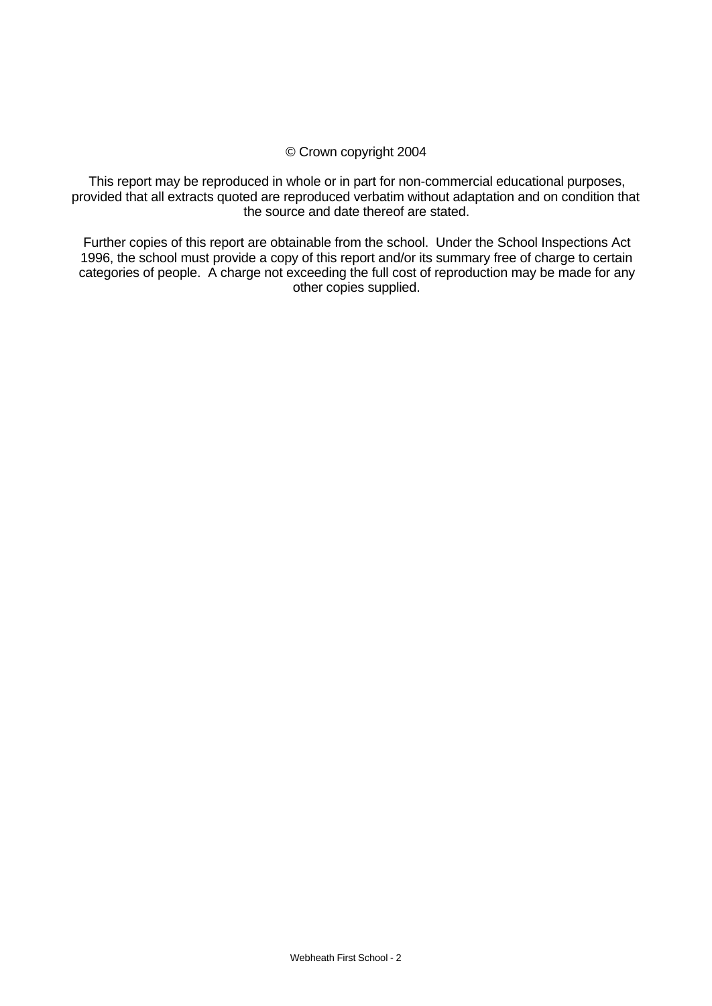## © Crown copyright 2004

This report may be reproduced in whole or in part for non-commercial educational purposes, provided that all extracts quoted are reproduced verbatim without adaptation and on condition that the source and date thereof are stated.

Further copies of this report are obtainable from the school. Under the School Inspections Act 1996, the school must provide a copy of this report and/or its summary free of charge to certain categories of people. A charge not exceeding the full cost of reproduction may be made for any other copies supplied.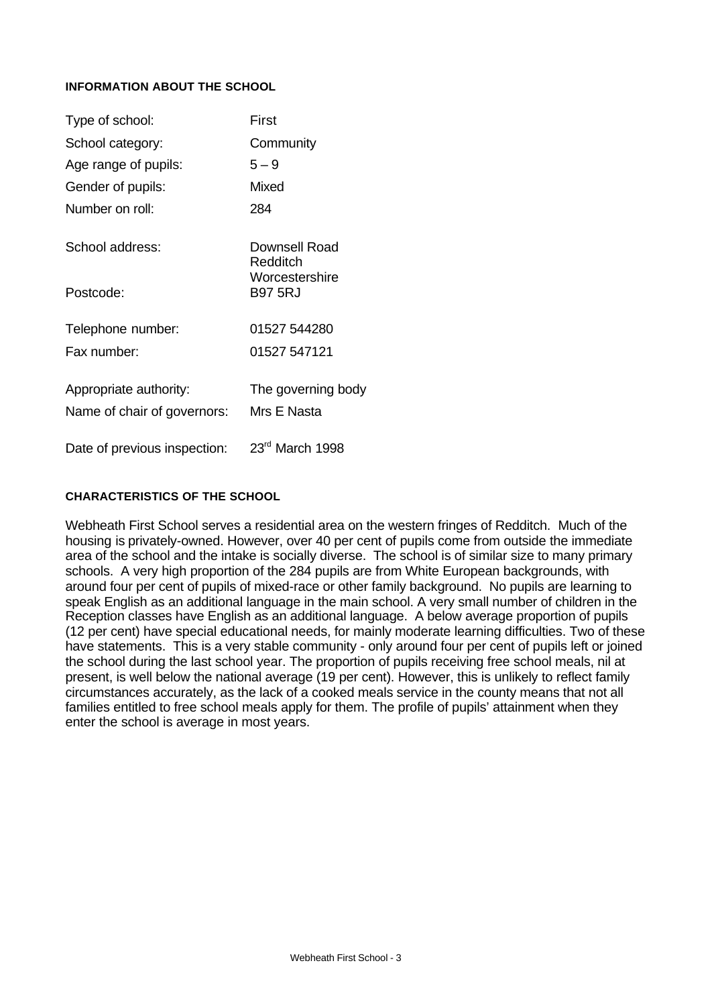## **INFORMATION ABOUT THE SCHOOL**

| Type of school:              | First                            |
|------------------------------|----------------------------------|
| School category:             | Community                        |
| Age range of pupils:         | $5 - 9$                          |
| Gender of pupils:            | Mixed                            |
| Number on roll:              | 284                              |
| School address:              | Downsell Road<br>Redditch        |
| Postcode:                    | Worcestershire<br><b>B97 5RJ</b> |
| Telephone number:            | 01527 544280                     |
| Fax number:                  | 01527 547121                     |
| Appropriate authority:       | The governing body               |
| Name of chair of governors:  | Mrs E Nasta                      |
| Date of previous inspection: | $23rd$ March 1998                |

#### **CHARACTERISTICS OF THE SCHOOL**

Webheath First School serves a residential area on the western fringes of Redditch. Much of the housing is privately-owned. However, over 40 per cent of pupils come from outside the immediate area of the school and the intake is socially diverse. The school is of similar size to many primary schools. A very high proportion of the 284 pupils are from White European backgrounds, with around four per cent of pupils of mixed-race or other family background. No pupils are learning to speak English as an additional language in the main school. A very small number of children in the Reception classes have English as an additional language. A below average proportion of pupils (12 per cent) have special educational needs, for mainly moderate learning difficulties. Two of these have statements. This is a very stable community - only around four per cent of pupils left or joined the school during the last school year. The proportion of pupils receiving free school meals, nil at present, is well below the national average (19 per cent). However, this is unlikely to reflect family circumstances accurately, as the lack of a cooked meals service in the county means that not all families entitled to free school meals apply for them. The profile of pupils' attainment when they enter the school is average in most years.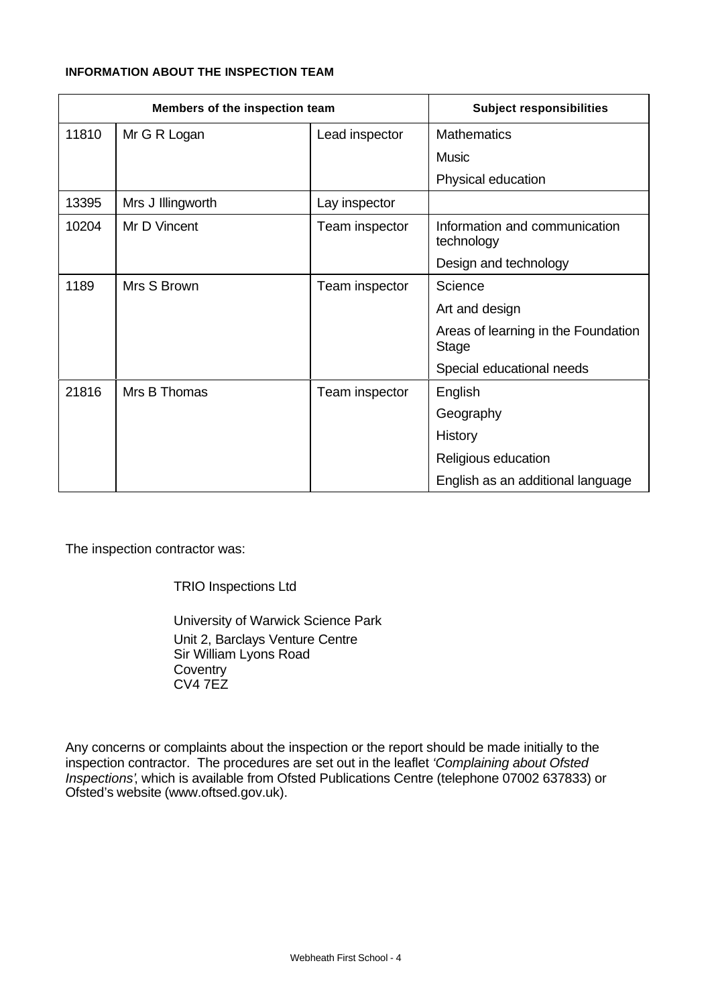## **INFORMATION ABOUT THE INSPECTION TEAM**

| Members of the inspection team |                   | <b>Subject responsibilities</b> |                                                     |
|--------------------------------|-------------------|---------------------------------|-----------------------------------------------------|
| 11810                          | Mr G R Logan      | Lead inspector                  | <b>Mathematics</b>                                  |
|                                |                   |                                 | <b>Music</b>                                        |
|                                |                   |                                 | Physical education                                  |
| 13395                          | Mrs J Illingworth | Lay inspector                   |                                                     |
| 10204                          | Mr D Vincent      | Team inspector                  | Information and communication<br>technology         |
|                                |                   |                                 | Design and technology                               |
| 1189                           | Mrs S Brown       | Team inspector                  | Science                                             |
|                                |                   |                                 | Art and design                                      |
|                                |                   |                                 | Areas of learning in the Foundation<br><b>Stage</b> |
|                                |                   |                                 | Special educational needs                           |
| 21816                          | Mrs B Thomas      | Team inspector                  | English                                             |
|                                |                   |                                 | Geography                                           |
|                                |                   |                                 | History                                             |
|                                |                   |                                 | Religious education                                 |
|                                |                   |                                 | English as an additional language                   |

The inspection contractor was:

TRIO Inspections Ltd

University of Warwick Science Park Unit 2, Barclays Venture Centre Sir William Lyons Road **Coventry**  $CVA 7EZ$ 

Any concerns or complaints about the inspection or the report should be made initially to the inspection contractor. The procedures are set out in the leaflet *'Complaining about Ofsted Inspections'*, which is available from Ofsted Publications Centre (telephone 07002 637833) or Ofsted's website (www.oftsed.gov.uk).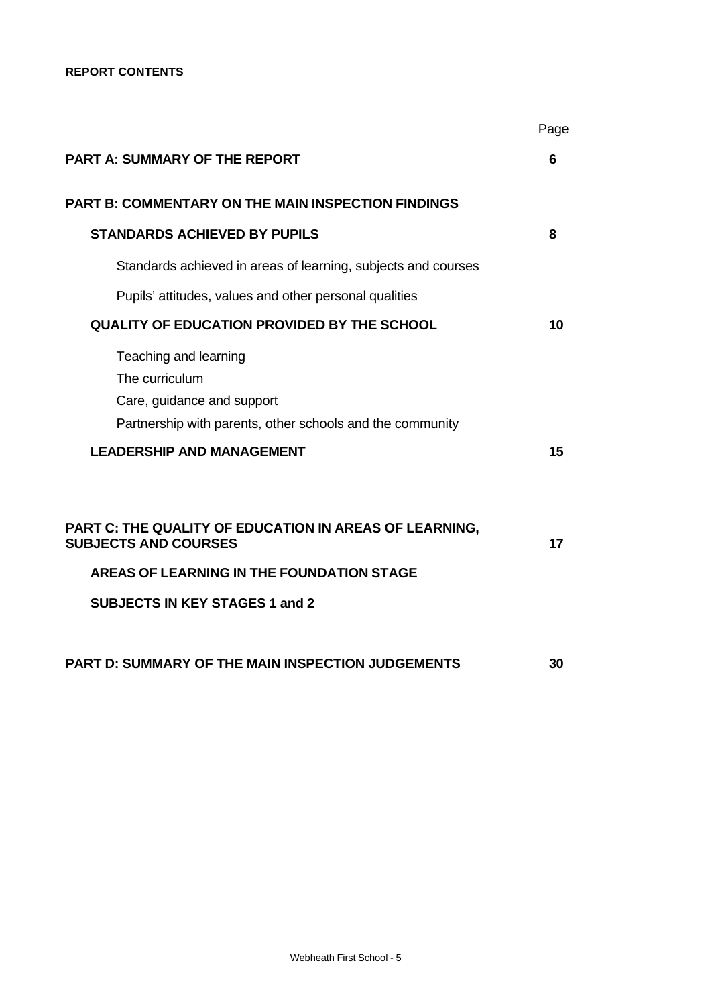|                                                                                                                                                                        | Page |
|------------------------------------------------------------------------------------------------------------------------------------------------------------------------|------|
| <b>PART A: SUMMARY OF THE REPORT</b>                                                                                                                                   | 6    |
| <b>PART B: COMMENTARY ON THE MAIN INSPECTION FINDINGS</b>                                                                                                              |      |
| <b>STANDARDS ACHIEVED BY PUPILS</b>                                                                                                                                    | 8    |
| Standards achieved in areas of learning, subjects and courses                                                                                                          |      |
| Pupils' attitudes, values and other personal qualities                                                                                                                 |      |
| QUALITY OF EDUCATION PROVIDED BY THE SCHOOL                                                                                                                            | 10   |
| Teaching and learning<br>The curriculum<br>Care, guidance and support<br>Partnership with parents, other schools and the community<br><b>LEADERSHIP AND MANAGEMENT</b> | 15   |
| PART C: THE QUALITY OF EDUCATION IN AREAS OF LEARNING,<br><b>SUBJECTS AND COURSES</b><br>AREAS OF LEARNING IN THE FOUNDATION STAGE                                     | 17   |
| <b>SUBJECTS IN KEY STAGES 1 and 2</b>                                                                                                                                  |      |
| <b>PART D: SUMMARY OF THE MAIN INSPECTION JUDGEMENTS</b>                                                                                                               | 30   |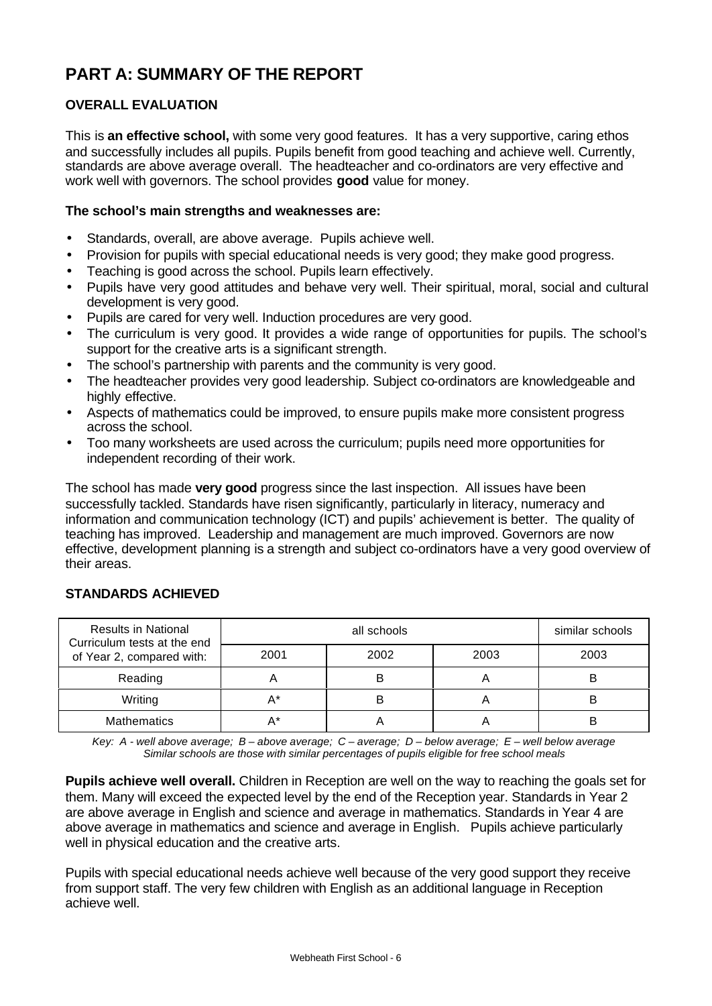# **PART A: SUMMARY OF THE REPORT**

# **OVERALL EVALUATION**

This is **an effective school,** with some very good features. It has a very supportive, caring ethos and successfully includes all pupils. Pupils benefit from good teaching and achieve well. Currently, standards are above average overall. The headteacher and co-ordinators are very effective and work well with governors. The school provides **good** value for money.

## **The school's main strengths and weaknesses are:**

- Standards, overall, are above average. Pupils achieve well.
- Provision for pupils with special educational needs is very good; they make good progress.
- Teaching is good across the school. Pupils learn effectively.
- Pupils have very good attitudes and behave very well. Their spiritual, moral, social and cultural development is very good.
- Pupils are cared for very well. Induction procedures are very good.
- The curriculum is very good. It provides a wide range of opportunities for pupils. The school's support for the creative arts is a significant strength.
- The school's partnership with parents and the community is very good.
- The headteacher provides very good leadership. Subject co-ordinators are knowledgeable and highly effective.
- Aspects of mathematics could be improved, to ensure pupils make more consistent progress across the school.
- Too many worksheets are used across the curriculum; pupils need more opportunities for independent recording of their work.

The school has made **very good** progress since the last inspection. All issues have been successfully tackled. Standards have risen significantly, particularly in literacy, numeracy and information and communication technology (ICT) and pupils' achievement is better. The quality of teaching has improved. Leadership and management are much improved. Governors are now effective, development planning is a strength and subject co-ordinators have a very good overview of their areas.

## **STANDARDS ACHIEVED**

| <b>Results in National</b><br>Curriculum tests at the end |      | similar schools |      |      |
|-----------------------------------------------------------|------|-----------------|------|------|
| of Year 2, compared with:                                 | 2001 | 2002            | 2003 | 2003 |
| Reading                                                   |      | B               |      |      |
| Writing                                                   |      | В               | n    |      |
| <b>Mathematics</b>                                        |      |                 |      |      |

*Key: A - well above average; B – above average; C – average; D – below average; E – well below average Similar schools are those with similar percentages of pupils eligible for free school meals*

**Pupils achieve well overall.** Children in Reception are well on the way to reaching the goals set for them. Many will exceed the expected level by the end of the Reception year. Standards in Year 2 are above average in English and science and average in mathematics. Standards in Year 4 are above average in mathematics and science and average in English. Pupils achieve particularly well in physical education and the creative arts.

Pupils with special educational needs achieve well because of the very good support they receive from support staff. The very few children with English as an additional language in Reception achieve well.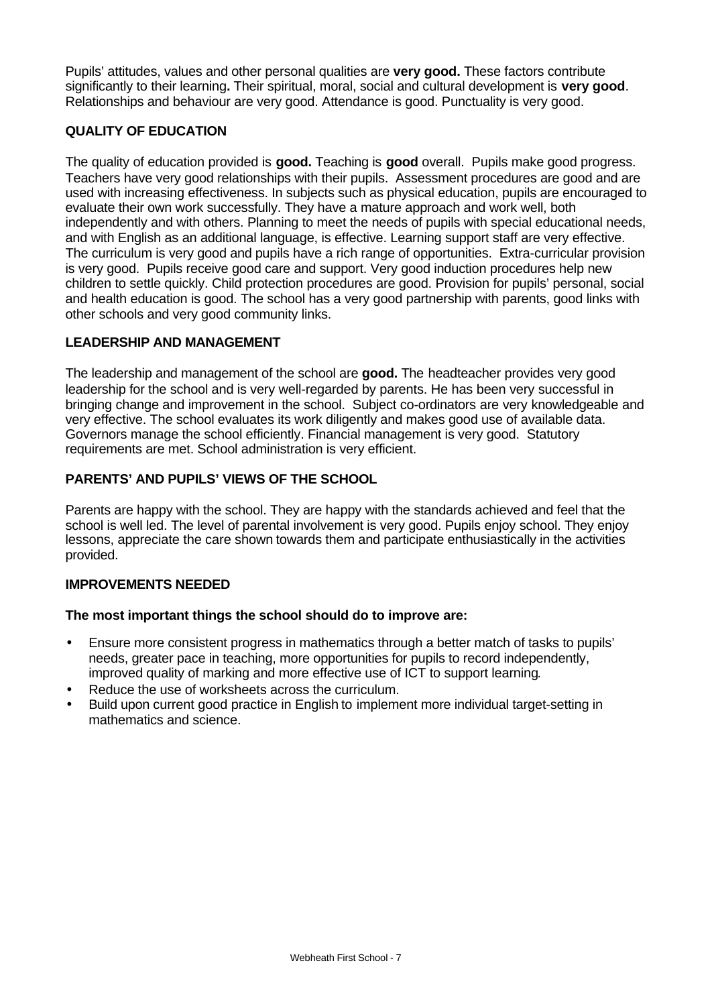Pupils' attitudes, values and other personal qualities are **very good.** These factors contribute significantly to their learning**.** Their spiritual, moral, social and cultural development is **very good**. Relationships and behaviour are very good. Attendance is good. Punctuality is very good.

# **QUALITY OF EDUCATION**

The quality of education provided is **good.** Teaching is **good** overall. Pupils make good progress. Teachers have very good relationships with their pupils. Assessment procedures are good and are used with increasing effectiveness. In subjects such as physical education, pupils are encouraged to evaluate their own work successfully. They have a mature approach and work well, both independently and with others. Planning to meet the needs of pupils with special educational needs, and with English as an additional language, is effective. Learning support staff are very effective. The curriculum is very good and pupils have a rich range of opportunities. Extra-curricular provision is very good. Pupils receive good care and support. Very good induction procedures help new children to settle quickly. Child protection procedures are good. Provision for pupils' personal, social and health education is good. The school has a very good partnership with parents, good links with other schools and very good community links.

## **LEADERSHIP AND MANAGEMENT**

The leadership and management of the school are **good.** The headteacher provides very good leadership for the school and is very well-regarded by parents. He has been very successful in bringing change and improvement in the school. Subject co-ordinators are very knowledgeable and very effective. The school evaluates its work diligently and makes good use of available data. Governors manage the school efficiently. Financial management is very good. Statutory requirements are met. School administration is very efficient.

# **PARENTS' AND PUPILS' VIEWS OF THE SCHOOL**

Parents are happy with the school. They are happy with the standards achieved and feel that the school is well led. The level of parental involvement is very good. Pupils enjoy school. They enjoy lessons, appreciate the care shown towards them and participate enthusiastically in the activities provided.

## **IMPROVEMENTS NEEDED**

## **The most important things the school should do to improve are:**

- Ensure more consistent progress in mathematics through a better match of tasks to pupils' needs, greater pace in teaching, more opportunities for pupils to record independently, improved quality of marking and more effective use of ICT to support learning.
- Reduce the use of worksheets across the curriculum.
- Build upon current good practice in English to implement more individual target-setting in mathematics and science.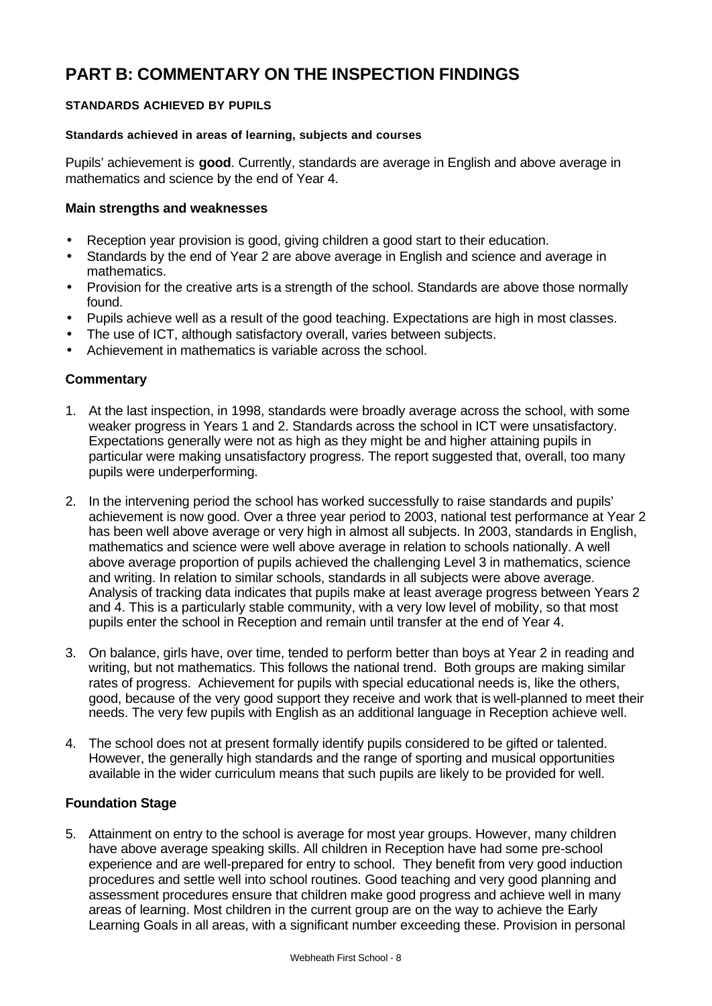# **PART B: COMMENTARY ON THE INSPECTION FINDINGS**

## **STANDARDS ACHIEVED BY PUPILS**

### **Standards achieved in areas of learning, subjects and courses**

Pupils' achievement is **good**. Currently, standards are average in English and above average in mathematics and science by the end of Year 4.

## **Main strengths and weaknesses**

- Reception year provision is good, giving children a good start to their education.
- Standards by the end of Year 2 are above average in English and science and average in mathematics.
- Provision for the creative arts is a strength of the school. Standards are above those normally found.
- Pupils achieve well as a result of the good teaching. Expectations are high in most classes.
- The use of ICT, although satisfactory overall, varies between subjects.
- Achievement in mathematics is variable across the school.

## **Commentary**

- 1. At the last inspection, in 1998, standards were broadly average across the school, with some weaker progress in Years 1 and 2. Standards across the school in ICT were unsatisfactory. Expectations generally were not as high as they might be and higher attaining pupils in particular were making unsatisfactory progress. The report suggested that, overall, too many pupils were underperforming.
- 2. In the intervening period the school has worked successfully to raise standards and pupils' achievement is now good. Over a three year period to 2003, national test performance at Year 2 has been well above average or very high in almost all subjects. In 2003, standards in English, mathematics and science were well above average in relation to schools nationally. A well above average proportion of pupils achieved the challenging Level 3 in mathematics, science and writing. In relation to similar schools, standards in all subjects were above average. Analysis of tracking data indicates that pupils make at least average progress between Years 2 and 4. This is a particularly stable community, with a very low level of mobility, so that most pupils enter the school in Reception and remain until transfer at the end of Year 4.
- 3. On balance, girls have, over time, tended to perform better than boys at Year 2 in reading and writing, but not mathematics. This follows the national trend. Both groups are making similar rates of progress. Achievement for pupils with special educational needs is, like the others, good, because of the very good support they receive and work that is well-planned to meet their needs. The very few pupils with English as an additional language in Reception achieve well.
- 4. The school does not at present formally identify pupils considered to be gifted or talented. However, the generally high standards and the range of sporting and musical opportunities available in the wider curriculum means that such pupils are likely to be provided for well.

## **Foundation Stage**

5. Attainment on entry to the school is average for most year groups. However, many children have above average speaking skills. All children in Reception have had some pre-school experience and are well-prepared for entry to school. They benefit from very good induction procedures and settle well into school routines. Good teaching and very good planning and assessment procedures ensure that children make good progress and achieve well in many areas of learning. Most children in the current group are on the way to achieve the Early Learning Goals in all areas, with a significant number exceeding these. Provision in personal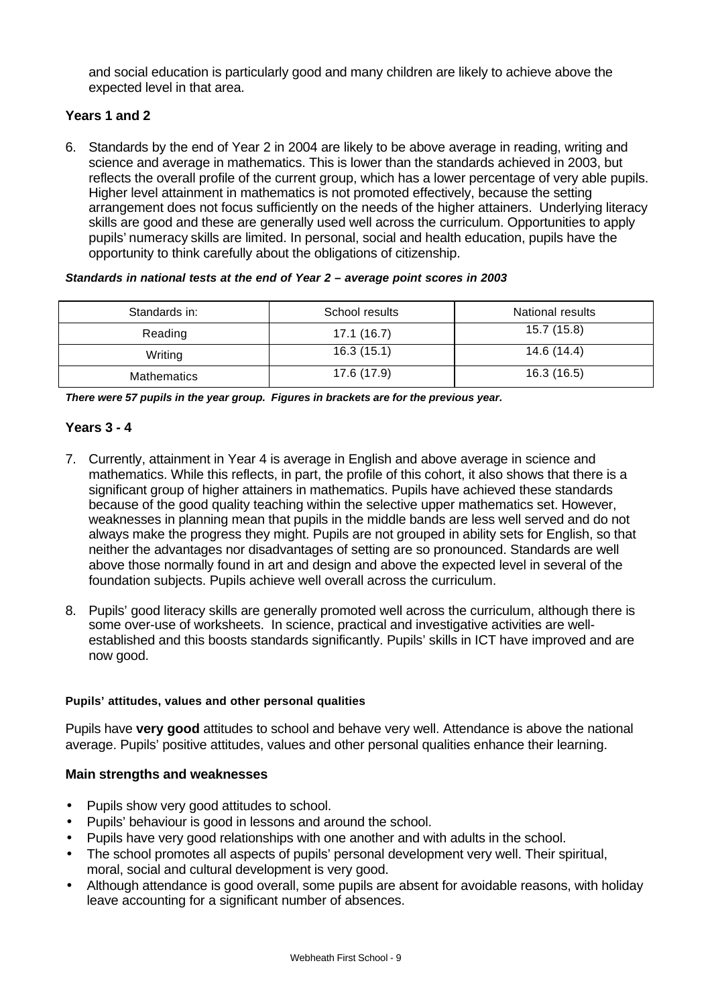and social education is particularly good and many children are likely to achieve above the expected level in that area.

# **Years 1 and 2**

6. Standards by the end of Year 2 in 2004 are likely to be above average in reading, writing and science and average in mathematics. This is lower than the standards achieved in 2003, but reflects the overall profile of the current group, which has a lower percentage of very able pupils. Higher level attainment in mathematics is not promoted effectively, because the setting arrangement does not focus sufficiently on the needs of the higher attainers. Underlying literacy skills are good and these are generally used well across the curriculum. Opportunities to apply pupils' numeracy skills are limited. In personal, social and health education, pupils have the opportunity to think carefully about the obligations of citizenship.

#### *Standards in national tests at the end of Year 2 – average point scores in 2003*

| Standards in:      | School results | <b>National results</b> |
|--------------------|----------------|-------------------------|
| Reading            | 17.1(16.7)     | 15.7(15.8)              |
| Writing            | 16.3(15.1)     | 14.6 (14.4)             |
| <b>Mathematics</b> | 17.6 (17.9)    | 16.3 (16.5)             |

*There were 57 pupils in the year group. Figures in brackets are for the previous year.*

## **Years 3 - 4**

- 7. Currently, attainment in Year 4 is average in English and above average in science and mathematics. While this reflects, in part, the profile of this cohort, it also shows that there is a significant group of higher attainers in mathematics. Pupils have achieved these standards because of the good quality teaching within the selective upper mathematics set. However, weaknesses in planning mean that pupils in the middle bands are less well served and do not always make the progress they might. Pupils are not grouped in ability sets for English, so that neither the advantages nor disadvantages of setting are so pronounced. Standards are well above those normally found in art and design and above the expected level in several of the foundation subjects. Pupils achieve well overall across the curriculum.
- 8. Pupils' good literacy skills are generally promoted well across the curriculum, although there is some over-use of worksheets. In science, practical and investigative activities are wellestablished and this boosts standards significantly. Pupils' skills in ICT have improved and are now good.

#### **Pupils' attitudes, values and other personal qualities**

Pupils have **very good** attitudes to school and behave very well. Attendance is above the national average. Pupils' positive attitudes, values and other personal qualities enhance their learning.

## **Main strengths and weaknesses**

- Pupils show very good attitudes to school.
- Pupils' behaviour is good in lessons and around the school.
- Pupils have very good relationships with one another and with adults in the school.
- The school promotes all aspects of pupils' personal development very well. Their spiritual, moral, social and cultural development is very good.
- Although attendance is good overall, some pupils are absent for avoidable reasons, with holiday leave accounting for a significant number of absences.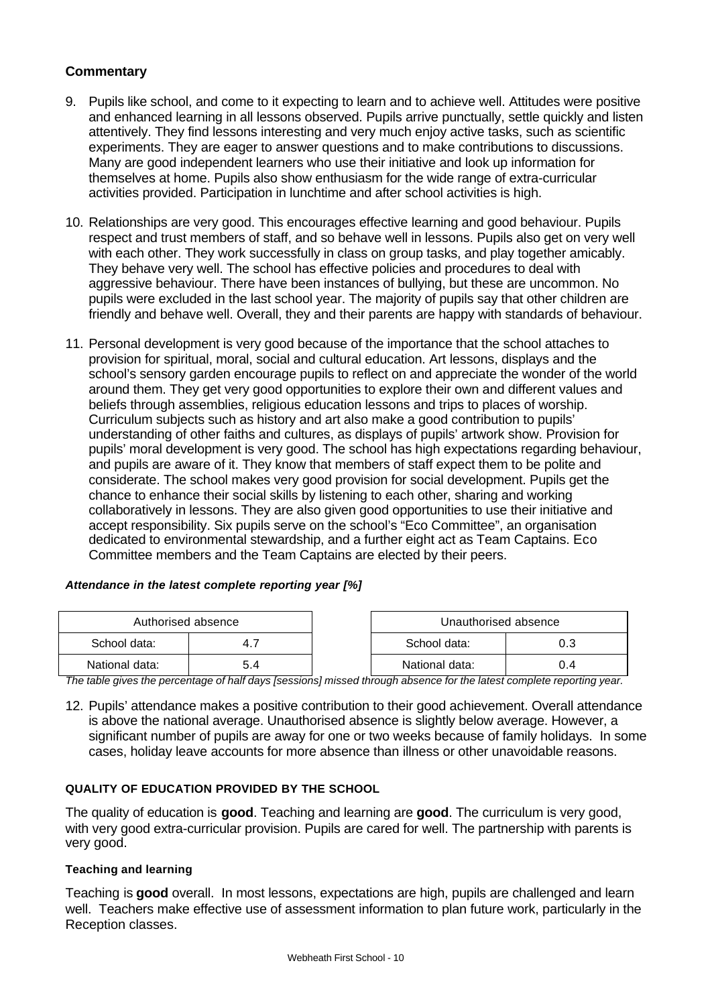# **Commentary**

- 9. Pupils like school, and come to it expecting to learn and to achieve well. Attitudes were positive and enhanced learning in all lessons observed. Pupils arrive punctually, settle quickly and listen attentively. They find lessons interesting and very much enjoy active tasks, such as scientific experiments. They are eager to answer questions and to make contributions to discussions. Many are good independent learners who use their initiative and look up information for themselves at home. Pupils also show enthusiasm for the wide range of extra-curricular activities provided. Participation in lunchtime and after school activities is high.
- 10. Relationships are very good. This encourages effective learning and good behaviour. Pupils respect and trust members of staff, and so behave well in lessons. Pupils also get on very well with each other. They work successfully in class on group tasks, and play together amicably. They behave very well. The school has effective policies and procedures to deal with aggressive behaviour. There have been instances of bullying, but these are uncommon. No pupils were excluded in the last school year. The majority of pupils say that other children are friendly and behave well. Overall, they and their parents are happy with standards of behaviour.
- 11. Personal development is very good because of the importance that the school attaches to provision for spiritual, moral, social and cultural education. Art lessons, displays and the school's sensory garden encourage pupils to reflect on and appreciate the wonder of the world around them. They get very good opportunities to explore their own and different values and beliefs through assemblies, religious education lessons and trips to places of worship. Curriculum subjects such as history and art also make a good contribution to pupils' understanding of other faiths and cultures, as displays of pupils' artwork show. Provision for pupils' moral development is very good. The school has high expectations regarding behaviour, and pupils are aware of it. They know that members of staff expect them to be polite and considerate. The school makes very good provision for social development. Pupils get the chance to enhance their social skills by listening to each other, sharing and working collaboratively in lessons. They are also given good opportunities to use their initiative and accept responsibility. Six pupils serve on the school's "Eco Committee", an organisation dedicated to environmental stewardship, and a further eight act as Team Captains. Eco Committee members and the Team Captains are elected by their peers.

## *Attendance in the latest complete reporting year [%]*

| Authorised absence |  | Unauthorised absence |     |  |
|--------------------|--|----------------------|-----|--|
| School data:       |  | School data:         | 0.3 |  |
| National data:     |  | National data:       | 0.4 |  |

*The table gives the percentage of half days [sessions] missed through absence for the latest complete reporting year.*

12. Pupils' attendance makes a positive contribution to their good achievement. Overall attendance is above the national average. Unauthorised absence is slightly below average. However, a significant number of pupils are away for one or two weeks because of family holidays. In some cases, holiday leave accounts for more absence than illness or other unavoidable reasons.

#### **QUALITY OF EDUCATION PROVIDED BY THE SCHOOL**

The quality of education is **good**. Teaching and learning are **good**. The curriculum is very good, with very good extra-curricular provision. Pupils are cared for well. The partnership with parents is very good.

### **Teaching and learning**

Teaching is **good** overall. In most lessons, expectations are high, pupils are challenged and learn well. Teachers make effective use of assessment information to plan future work, particularly in the Reception classes.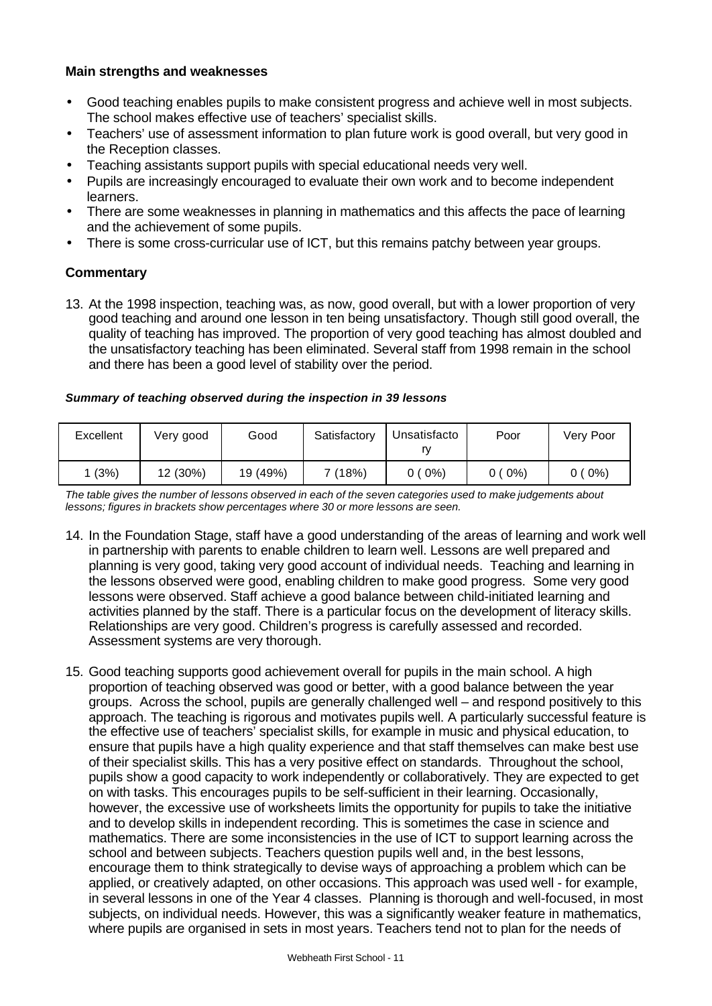## **Main strengths and weaknesses**

- Good teaching enables pupils to make consistent progress and achieve well in most subjects. The school makes effective use of teachers' specialist skills.
- Teachers' use of assessment information to plan future work is good overall, but very good in the Reception classes.
- Teaching assistants support pupils with special educational needs very well.
- Pupils are increasingly encouraged to evaluate their own work and to become independent learners.
- There are some weaknesses in planning in mathematics and this affects the pace of learning and the achievement of some pupils.
- There is some cross-curricular use of ICT, but this remains patchy between year groups.

#### **Commentary**

13. At the 1998 inspection, teaching was, as now, good overall, but with a lower proportion of very good teaching and around one lesson in ten being unsatisfactory. Though still good overall, the quality of teaching has improved. The proportion of very good teaching has almost doubled and the unsatisfactory teaching has been eliminated. Several staff from 1998 remain in the school and there has been a good level of stability over the period.

#### *Summary of teaching observed during the inspection in 39 lessons*

| Excellent | Very good | Good     | Satisfactory | Unsatisfacto<br>rν | Poor     | Verv Poor |
|-----------|-----------|----------|--------------|--------------------|----------|-----------|
| (3%)      | 12 (30%)  | 19 (49%) | 7 (18%)      | $0(0\%)$           | $0(0\%)$ | $0(0\%)$  |

*The table gives the number of lessons observed in each of the seven categories used to make judgements about lessons; figures in brackets show percentages where 30 or more lessons are seen.*

- 14. In the Foundation Stage, staff have a good understanding of the areas of learning and work well in partnership with parents to enable children to learn well. Lessons are well prepared and planning is very good, taking very good account of individual needs. Teaching and learning in the lessons observed were good, enabling children to make good progress. Some very good lessons were observed. Staff achieve a good balance between child-initiated learning and activities planned by the staff. There is a particular focus on the development of literacy skills. Relationships are very good. Children's progress is carefully assessed and recorded. Assessment systems are very thorough.
- 15. Good teaching supports good achievement overall for pupils in the main school. A high proportion of teaching observed was good or better, with a good balance between the year groups. Across the school, pupils are generally challenged well – and respond positively to this approach. The teaching is rigorous and motivates pupils well. A particularly successful feature is the effective use of teachers' specialist skills, for example in music and physical education, to ensure that pupils have a high quality experience and that staff themselves can make best use of their specialist skills. This has a very positive effect on standards. Throughout the school, pupils show a good capacity to work independently or collaboratively. They are expected to get on with tasks. This encourages pupils to be self-sufficient in their learning. Occasionally, however, the excessive use of worksheets limits the opportunity for pupils to take the initiative and to develop skills in independent recording. This is sometimes the case in science and mathematics. There are some inconsistencies in the use of ICT to support learning across the school and between subjects. Teachers question pupils well and, in the best lessons, encourage them to think strategically to devise ways of approaching a problem which can be applied, or creatively adapted, on other occasions. This approach was used well - for example, in several lessons in one of the Year 4 classes. Planning is thorough and well-focused, in most subjects, on individual needs. However, this was a significantly weaker feature in mathematics, where pupils are organised in sets in most years. Teachers tend not to plan for the needs of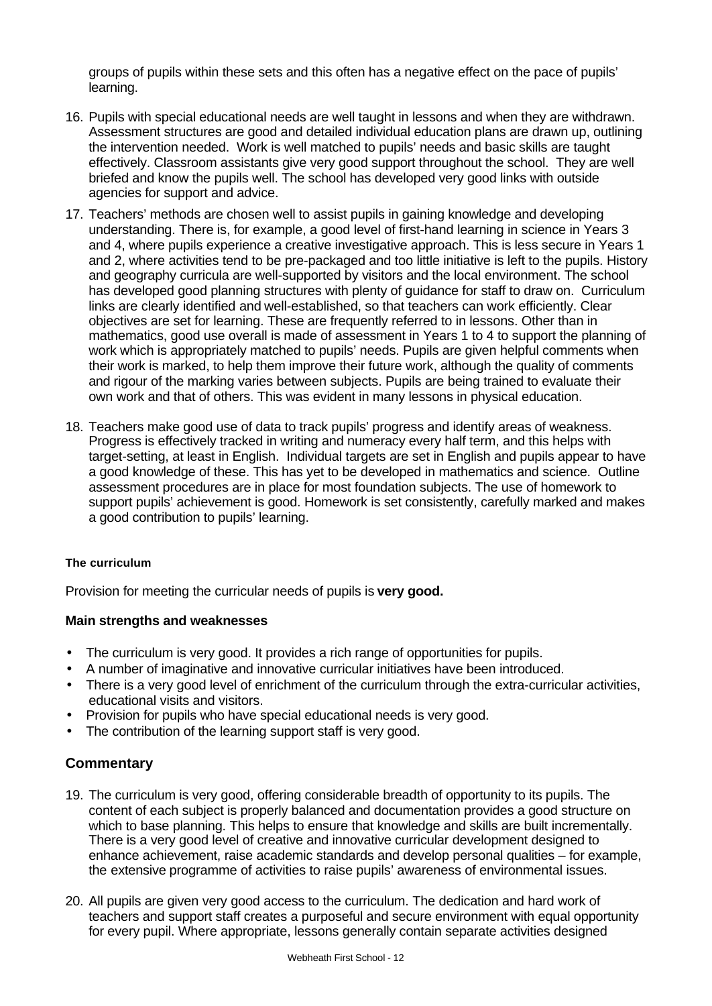groups of pupils within these sets and this often has a negative effect on the pace of pupils' learning.

- 16. Pupils with special educational needs are well taught in lessons and when they are withdrawn. Assessment structures are good and detailed individual education plans are drawn up, outlining the intervention needed. Work is well matched to pupils' needs and basic skills are taught effectively. Classroom assistants give very good support throughout the school. They are well briefed and know the pupils well. The school has developed very good links with outside agencies for support and advice.
- 17. Teachers' methods are chosen well to assist pupils in gaining knowledge and developing understanding. There is, for example, a good level of first-hand learning in science in Years 3 and 4, where pupils experience a creative investigative approach. This is less secure in Years 1 and 2, where activities tend to be pre-packaged and too little initiative is left to the pupils. History and geography curricula are well-supported by visitors and the local environment. The school has developed good planning structures with plenty of guidance for staff to draw on. Curriculum links are clearly identified and well-established, so that teachers can work efficiently. Clear objectives are set for learning. These are frequently referred to in lessons. Other than in mathematics, good use overall is made of assessment in Years 1 to 4 to support the planning of work which is appropriately matched to pupils' needs. Pupils are given helpful comments when their work is marked, to help them improve their future work, although the quality of comments and rigour of the marking varies between subjects. Pupils are being trained to evaluate their own work and that of others. This was evident in many lessons in physical education.
- 18. Teachers make good use of data to track pupils' progress and identify areas of weakness. Progress is effectively tracked in writing and numeracy every half term, and this helps with target-setting, at least in English. Individual targets are set in English and pupils appear to have a good knowledge of these. This has yet to be developed in mathematics and science. Outline assessment procedures are in place for most foundation subjects. The use of homework to support pupils' achievement is good. Homework is set consistently, carefully marked and makes a good contribution to pupils' learning.

## **The curriculum**

Provision for meeting the curricular needs of pupils is **very good.**

## **Main strengths and weaknesses**

- The curriculum is very good. It provides a rich range of opportunities for pupils.
- A number of imaginative and innovative curricular initiatives have been introduced.
- There is a very good level of enrichment of the curriculum through the extra-curricular activities, educational visits and visitors.
- Provision for pupils who have special educational needs is very good.
- The contribution of the learning support staff is very good.

- 19. The curriculum is very good, offering considerable breadth of opportunity to its pupils. The content of each subject is properly balanced and documentation provides a good structure on which to base planning. This helps to ensure that knowledge and skills are built incrementally. There is a very good level of creative and innovative curricular development designed to enhance achievement, raise academic standards and develop personal qualities – for example, the extensive programme of activities to raise pupils' awareness of environmental issues.
- 20. All pupils are given very good access to the curriculum. The dedication and hard work of teachers and support staff creates a purposeful and secure environment with equal opportunity for every pupil. Where appropriate, lessons generally contain separate activities designed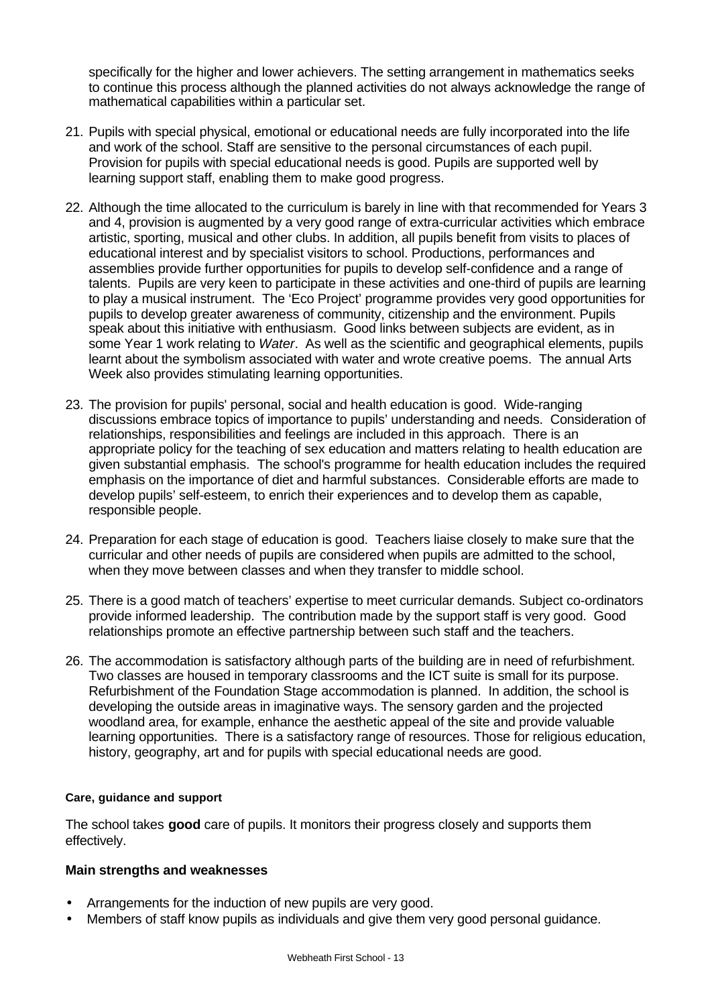specifically for the higher and lower achievers. The setting arrangement in mathematics seeks to continue this process although the planned activities do not always acknowledge the range of mathematical capabilities within a particular set.

- 21. Pupils with special physical, emotional or educational needs are fully incorporated into the life and work of the school. Staff are sensitive to the personal circumstances of each pupil. Provision for pupils with special educational needs is good. Pupils are supported well by learning support staff, enabling them to make good progress.
- 22. Although the time allocated to the curriculum is barely in line with that recommended for Years 3 and 4, provision is augmented by a very good range of extra-curricular activities which embrace artistic, sporting, musical and other clubs. In addition, all pupils benefit from visits to places of educational interest and by specialist visitors to school. Productions, performances and assemblies provide further opportunities for pupils to develop self-confidence and a range of talents. Pupils are very keen to participate in these activities and one-third of pupils are learning to play a musical instrument. The 'Eco Project' programme provides very good opportunities for pupils to develop greater awareness of community, citizenship and the environment. Pupils speak about this initiative with enthusiasm. Good links between subjects are evident, as in some Year 1 work relating to *Water*. As well as the scientific and geographical elements, pupils learnt about the symbolism associated with water and wrote creative poems. The annual Arts Week also provides stimulating learning opportunities.
- 23. The provision for pupils' personal, social and health education is good. Wide-ranging discussions embrace topics of importance to pupils' understanding and needs. Consideration of relationships, responsibilities and feelings are included in this approach. There is an appropriate policy for the teaching of sex education and matters relating to health education are given substantial emphasis. The school's programme for health education includes the required emphasis on the importance of diet and harmful substances. Considerable efforts are made to develop pupils' self-esteem, to enrich their experiences and to develop them as capable, responsible people.
- 24. Preparation for each stage of education is good. Teachers liaise closely to make sure that the curricular and other needs of pupils are considered when pupils are admitted to the school, when they move between classes and when they transfer to middle school.
- 25. There is a good match of teachers' expertise to meet curricular demands. Subject co-ordinators provide informed leadership. The contribution made by the support staff is very good. Good relationships promote an effective partnership between such staff and the teachers.
- 26. The accommodation is satisfactory although parts of the building are in need of refurbishment. Two classes are housed in temporary classrooms and the ICT suite is small for its purpose. Refurbishment of the Foundation Stage accommodation is planned. In addition, the school is developing the outside areas in imaginative ways. The sensory garden and the projected woodland area, for example, enhance the aesthetic appeal of the site and provide valuable learning opportunities. There is a satisfactory range of resources. Those for religious education, history, geography, art and for pupils with special educational needs are good.

#### **Care, guidance and support**

The school takes **good** care of pupils. It monitors their progress closely and supports them effectively.

## **Main strengths and weaknesses**

- Arrangements for the induction of new pupils are very good.
- Members of staff know pupils as individuals and give them very good personal guidance.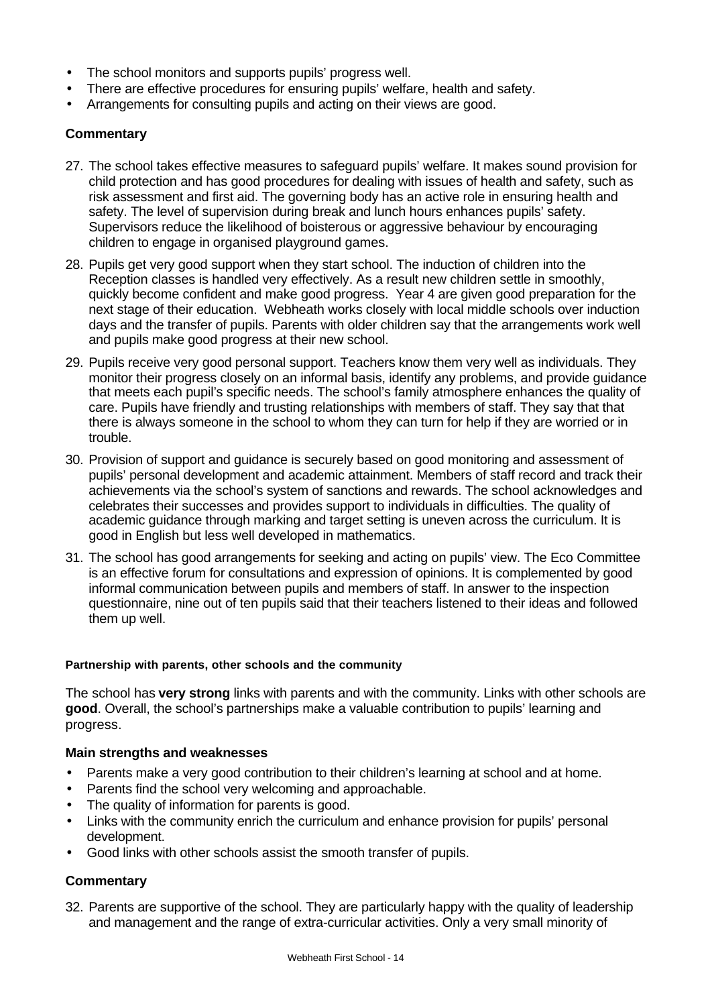- The school monitors and supports pupils' progress well.
- There are effective procedures for ensuring pupils' welfare, health and safety.
- Arrangements for consulting pupils and acting on their views are good.

# **Commentary**

- 27. The school takes effective measures to safeguard pupils' welfare. It makes sound provision for child protection and has good procedures for dealing with issues of health and safety, such as risk assessment and first aid. The governing body has an active role in ensuring health and safety. The level of supervision during break and lunch hours enhances pupils' safety. Supervisors reduce the likelihood of boisterous or aggressive behaviour by encouraging children to engage in organised playground games.
- 28. Pupils get very good support when they start school. The induction of children into the Reception classes is handled very effectively. As a result new children settle in smoothly, quickly become confident and make good progress. Year 4 are given good preparation for the next stage of their education. Webheath works closely with local middle schools over induction days and the transfer of pupils. Parents with older children say that the arrangements work well and pupils make good progress at their new school.
- 29. Pupils receive very good personal support. Teachers know them very well as individuals. They monitor their progress closely on an informal basis, identify any problems, and provide guidance that meets each pupil's specific needs. The school's family atmosphere enhances the quality of care. Pupils have friendly and trusting relationships with members of staff. They say that that there is always someone in the school to whom they can turn for help if they are worried or in trouble.
- 30. Provision of support and guidance is securely based on good monitoring and assessment of pupils' personal development and academic attainment. Members of staff record and track their achievements via the school's system of sanctions and rewards. The school acknowledges and celebrates their successes and provides support to individuals in difficulties. The quality of academic guidance through marking and target setting is uneven across the curriculum. It is good in English but less well developed in mathematics.
- 31. The school has good arrangements for seeking and acting on pupils' view. The Eco Committee is an effective forum for consultations and expression of opinions. It is complemented by good informal communication between pupils and members of staff. In answer to the inspection questionnaire, nine out of ten pupils said that their teachers listened to their ideas and followed them up well.

## **Partnership with parents, other schools and the community**

The school has **very strong** links with parents and with the community. Links with other schools are **good**. Overall, the school's partnerships make a valuable contribution to pupils' learning and progress.

## **Main strengths and weaknesses**

- Parents make a very good contribution to their children's learning at school and at home.
- Parents find the school very welcoming and approachable.
- The quality of information for parents is good.
- Links with the community enrich the curriculum and enhance provision for pupils' personal development.
- Good links with other schools assist the smooth transfer of pupils.

## **Commentary**

32. Parents are supportive of the school. They are particularly happy with the quality of leadership and management and the range of extra-curricular activities. Only a very small minority of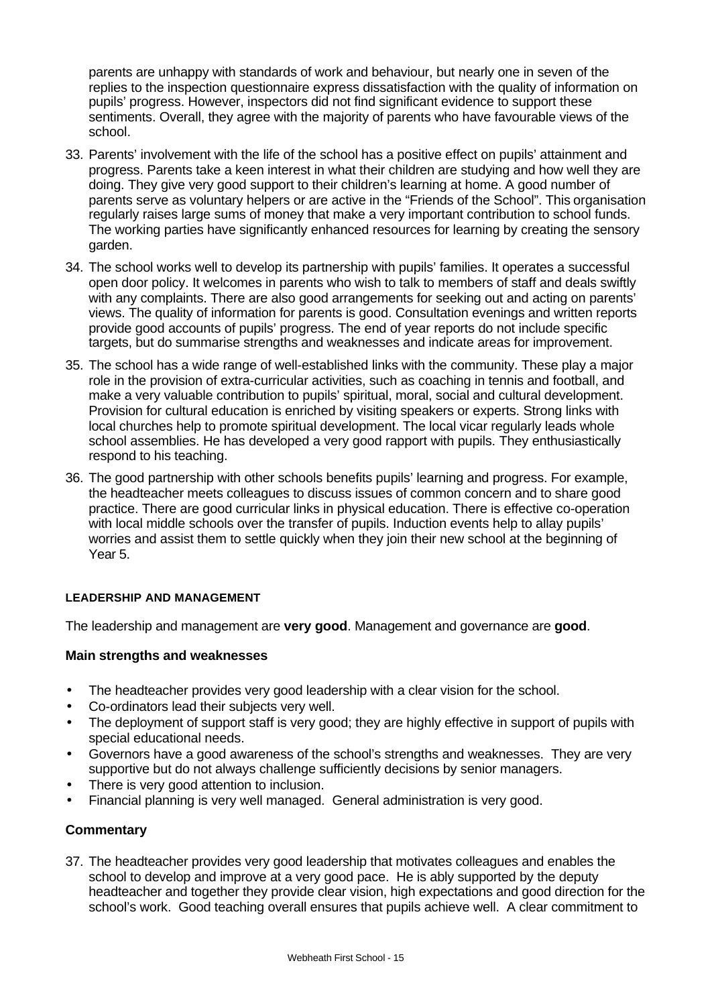parents are unhappy with standards of work and behaviour, but nearly one in seven of the replies to the inspection questionnaire express dissatisfaction with the quality of information on pupils' progress. However, inspectors did not find significant evidence to support these sentiments. Overall, they agree with the majority of parents who have favourable views of the school.

- 33. Parents' involvement with the life of the school has a positive effect on pupils' attainment and progress. Parents take a keen interest in what their children are studying and how well they are doing. They give very good support to their children's learning at home. A good number of parents serve as voluntary helpers or are active in the "Friends of the School". This organisation regularly raises large sums of money that make a very important contribution to school funds. The working parties have significantly enhanced resources for learning by creating the sensory garden.
- 34. The school works well to develop its partnership with pupils' families. It operates a successful open door policy. It welcomes in parents who wish to talk to members of staff and deals swiftly with any complaints. There are also good arrangements for seeking out and acting on parents' views. The quality of information for parents is good. Consultation evenings and written reports provide good accounts of pupils' progress. The end of year reports do not include specific targets, but do summarise strengths and weaknesses and indicate areas for improvement.
- 35. The school has a wide range of well-established links with the community. These play a major role in the provision of extra-curricular activities, such as coaching in tennis and football, and make a very valuable contribution to pupils' spiritual, moral, social and cultural development. Provision for cultural education is enriched by visiting speakers or experts. Strong links with local churches help to promote spiritual development. The local vicar regularly leads whole school assemblies. He has developed a very good rapport with pupils. They enthusiastically respond to his teaching.
- 36. The good partnership with other schools benefits pupils' learning and progress. For example, the headteacher meets colleagues to discuss issues of common concern and to share good practice. There are good curricular links in physical education. There is effective co-operation with local middle schools over the transfer of pupils. Induction events help to allay pupils' worries and assist them to settle quickly when they join their new school at the beginning of Year 5.

## **LEADERSHIP AND MANAGEMENT**

The leadership and management are **very good**. Management and governance are **good**.

## **Main strengths and weaknesses**

- The headteacher provides very good leadership with a clear vision for the school.
- Co-ordinators lead their subjects very well.
- The deployment of support staff is very good; they are highly effective in support of pupils with special educational needs.
- Governors have a good awareness of the school's strengths and weaknesses. They are very supportive but do not always challenge sufficiently decisions by senior managers.
- There is very good attention to inclusion.
- Financial planning is very well managed. General administration is very good.

# **Commentary**

37. The headteacher provides very good leadership that motivates colleagues and enables the school to develop and improve at a very good pace. He is ably supported by the deputy headteacher and together they provide clear vision, high expectations and good direction for the school's work. Good teaching overall ensures that pupils achieve well. A clear commitment to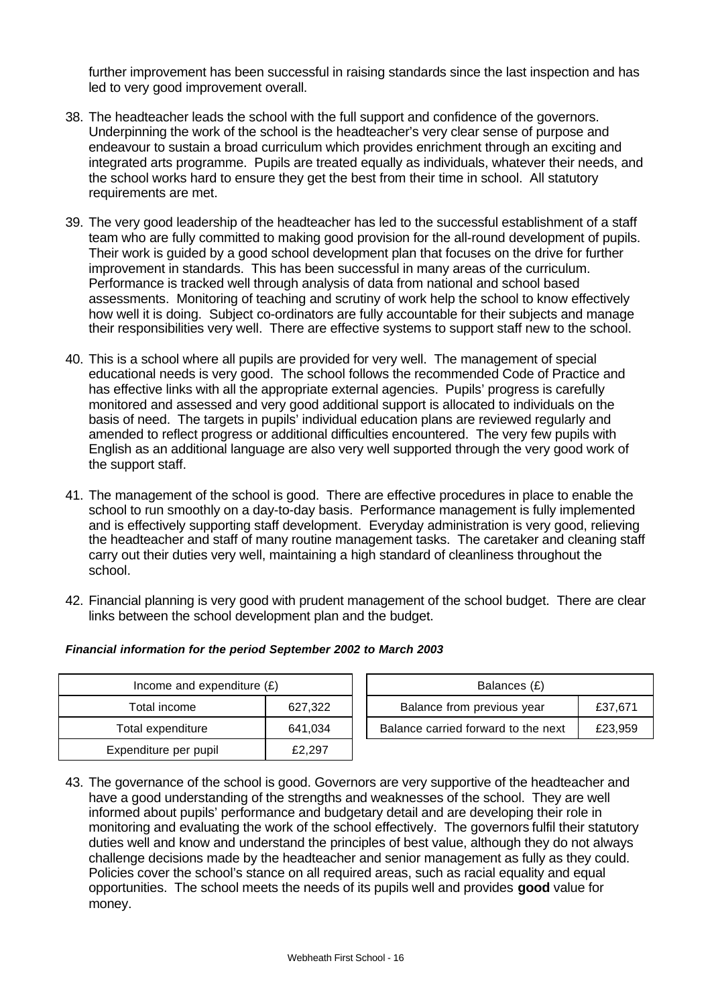further improvement has been successful in raising standards since the last inspection and has led to very good improvement overall.

- 38. The headteacher leads the school with the full support and confidence of the governors. Underpinning the work of the school is the headteacher's very clear sense of purpose and endeavour to sustain a broad curriculum which provides enrichment through an exciting and integrated arts programme. Pupils are treated equally as individuals, whatever their needs, and the school works hard to ensure they get the best from their time in school. All statutory requirements are met.
- 39. The very good leadership of the headteacher has led to the successful establishment of a staff team who are fully committed to making good provision for the all-round development of pupils. Their work is guided by a good school development plan that focuses on the drive for further improvement in standards. This has been successful in many areas of the curriculum. Performance is tracked well through analysis of data from national and school based assessments. Monitoring of teaching and scrutiny of work help the school to know effectively how well it is doing. Subject co-ordinators are fully accountable for their subjects and manage their responsibilities very well. There are effective systems to support staff new to the school.
- 40. This is a school where all pupils are provided for very well. The management of special educational needs is very good. The school follows the recommended Code of Practice and has effective links with all the appropriate external agencies. Pupils' progress is carefully monitored and assessed and very good additional support is allocated to individuals on the basis of need. The targets in pupils' individual education plans are reviewed regularly and amended to reflect progress or additional difficulties encountered. The very few pupils with English as an additional language are also very well supported through the very good work of the support staff.
- 41. The management of the school is good. There are effective procedures in place to enable the school to run smoothly on a day-to-day basis. Performance management is fully implemented and is effectively supporting staff development. Everyday administration is very good, relieving the headteacher and staff of many routine management tasks. The caretaker and cleaning staff carry out their duties very well, maintaining a high standard of cleanliness throughout the school.
- 42. Financial planning is very good with prudent management of the school budget. There are clear links between the school development plan and the budget.

| Income and expenditure $(E)$ |         | Balances (£)                        |         |  |
|------------------------------|---------|-------------------------------------|---------|--|
| Total income                 | 627.322 | Balance from previous year          | £37,671 |  |
| Total expenditure            | 641.034 | Balance carried forward to the next | £23,959 |  |
| Expenditure per pupil        | £2,297  |                                     |         |  |

#### *Financial information for the period September 2002 to March 2003*

43. The governance of the school is good. Governors are very supportive of the headteacher and have a good understanding of the strengths and weaknesses of the school. They are well informed about pupils' performance and budgetary detail and are developing their role in monitoring and evaluating the work of the school effectively. The governors fulfil their statutory duties well and know and understand the principles of best value, although they do not always challenge decisions made by the headteacher and senior management as fully as they could. Policies cover the school's stance on all required areas, such as racial equality and equal opportunities. The school meets the needs of its pupils well and provides **good** value for money.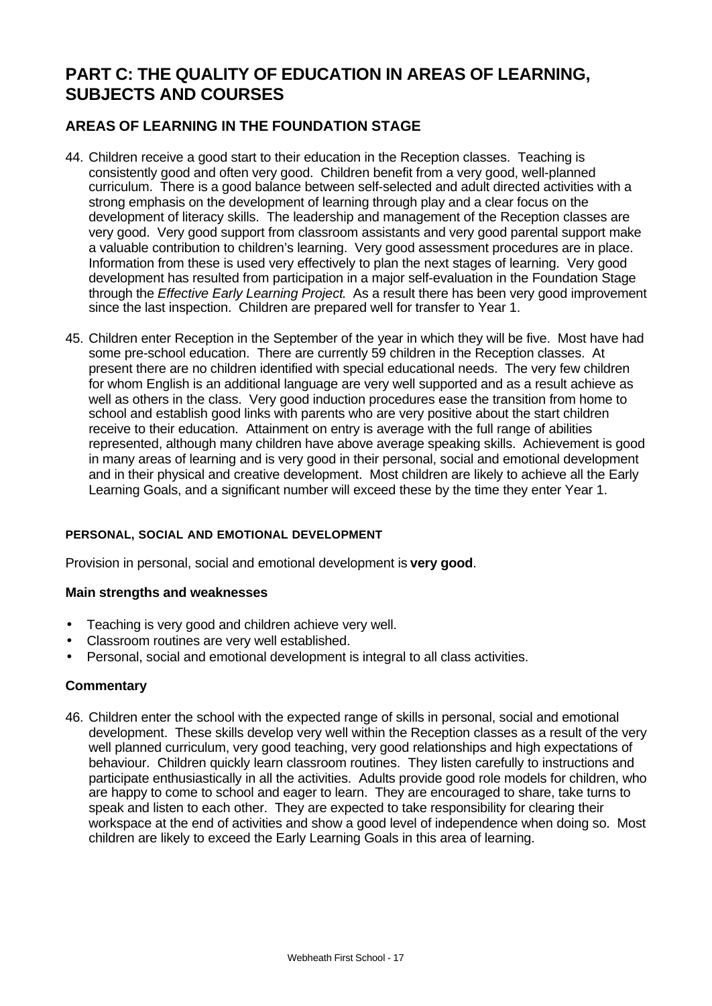# **PART C: THE QUALITY OF EDUCATION IN AREAS OF LEARNING, SUBJECTS AND COURSES**

# **AREAS OF LEARNING IN THE FOUNDATION STAGE**

- 44. Children receive a good start to their education in the Reception classes. Teaching is consistently good and often very good. Children benefit from a very good, well-planned curriculum. There is a good balance between self-selected and adult directed activities with a strong emphasis on the development of learning through play and a clear focus on the development of literacy skills. The leadership and management of the Reception classes are very good. Very good support from classroom assistants and very good parental support make a valuable contribution to children's learning. Very good assessment procedures are in place. Information from these is used very effectively to plan the next stages of learning. Very good development has resulted from participation in a major self-evaluation in the Foundation Stage through the *Effective Early Learning Project*. As a result there has been very good improvement since the last inspection. Children are prepared well for transfer to Year 1.
- 45. Children enter Reception in the September of the year in which they will be five. Most have had some pre-school education. There are currently 59 children in the Reception classes. At present there are no children identified with special educational needs. The very few children for whom English is an additional language are very well supported and as a result achieve as well as others in the class. Very good induction procedures ease the transition from home to school and establish good links with parents who are very positive about the start children receive to their education. Attainment on entry is average with the full range of abilities represented, although many children have above average speaking skills. Achievement is good in many areas of learning and is very good in their personal, social and emotional development and in their physical and creative development. Most children are likely to achieve all the Early Learning Goals, and a significant number will exceed these by the time they enter Year 1.

## **PERSONAL, SOCIAL AND EMOTIONAL DEVELOPMENT**

Provision in personal, social and emotional development is **very good**.

#### **Main strengths and weaknesses**

- Teaching is very good and children achieve very well.
- Classroom routines are very well established.
- Personal, social and emotional development is integral to all class activities.

#### **Commentary**

46. Children enter the school with the expected range of skills in personal, social and emotional development. These skills develop very well within the Reception classes as a result of the very well planned curriculum, very good teaching, very good relationships and high expectations of behaviour. Children quickly learn classroom routines. They listen carefully to instructions and participate enthusiastically in all the activities. Adults provide good role models for children, who are happy to come to school and eager to learn. They are encouraged to share, take turns to speak and listen to each other. They are expected to take responsibility for clearing their workspace at the end of activities and show a good level of independence when doing so. Most children are likely to exceed the Early Learning Goals in this area of learning.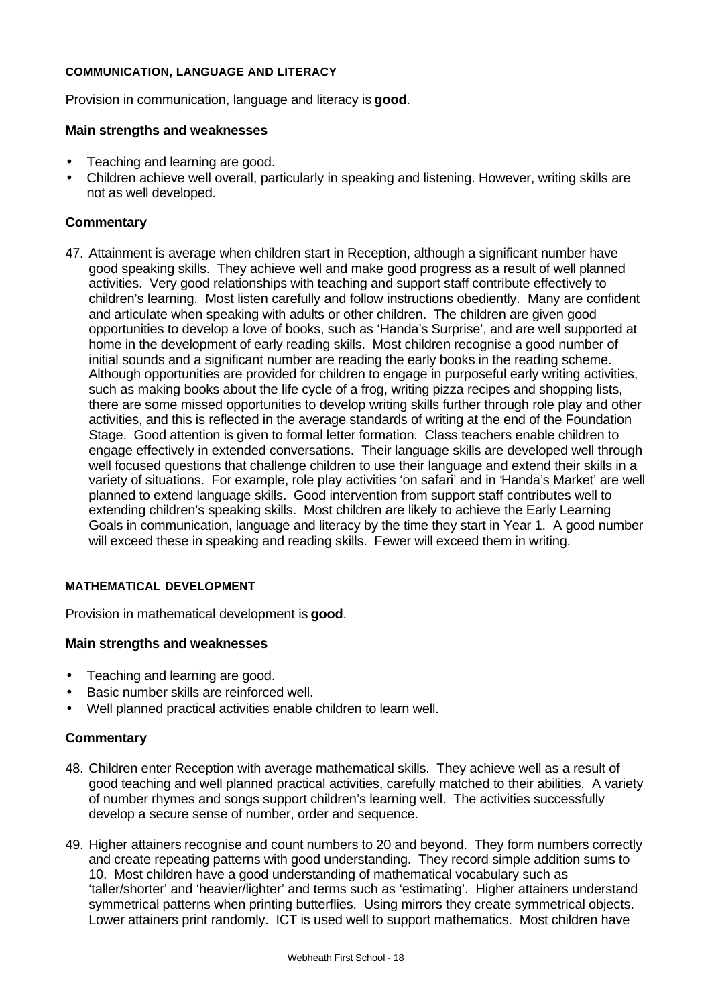#### **COMMUNICATION, LANGUAGE AND LITERACY**

Provision in communication, language and literacy is **good**.

#### **Main strengths and weaknesses**

- Teaching and learning are good.
- Children achieve well overall, particularly in speaking and listening. However, writing skills are not as well developed.

## **Commentary**

47. Attainment is average when children start in Reception, although a significant number have good speaking skills. They achieve well and make good progress as a result of well planned activities. Very good relationships with teaching and support staff contribute effectively to children's learning. Most listen carefully and follow instructions obediently. Many are confident and articulate when speaking with adults or other children. The children are given good opportunities to develop a love of books, such as 'Handa's Surprise', and are well supported at home in the development of early reading skills. Most children recognise a good number of initial sounds and a significant number are reading the early books in the reading scheme. Although opportunities are provided for children to engage in purposeful early writing activities, such as making books about the life cycle of a frog, writing pizza recipes and shopping lists, there are some missed opportunities to develop writing skills further through role play and other activities, and this is reflected in the average standards of writing at the end of the Foundation Stage. Good attention is given to formal letter formation. Class teachers enable children to engage effectively in extended conversations. Their language skills are developed well through well focused questions that challenge children to use their language and extend their skills in a variety of situations. For example, role play activities 'on safari' and in 'Handa's Market' are well planned to extend language skills. Good intervention from support staff contributes well to extending children's speaking skills. Most children are likely to achieve the Early Learning Goals in communication, language and literacy by the time they start in Year 1. A good number will exceed these in speaking and reading skills. Fewer will exceed them in writing.

#### **MATHEMATICAL DEVELOPMENT**

Provision in mathematical development is **good**.

## **Main strengths and weaknesses**

- Teaching and learning are good.
- Basic number skills are reinforced well.
- Well planned practical activities enable children to learn well.

- 48. Children enter Reception with average mathematical skills. They achieve well as a result of good teaching and well planned practical activities, carefully matched to their abilities. A variety of number rhymes and songs support children's learning well. The activities successfully develop a secure sense of number, order and sequence.
- 49. Higher attainers recognise and count numbers to 20 and beyond. They form numbers correctly and create repeating patterns with good understanding. They record simple addition sums to 10. Most children have a good understanding of mathematical vocabulary such as 'taller/shorter' and 'heavier/lighter' and terms such as 'estimating'. Higher attainers understand symmetrical patterns when printing butterflies. Using mirrors they create symmetrical objects. Lower attainers print randomly. ICT is used well to support mathematics. Most children have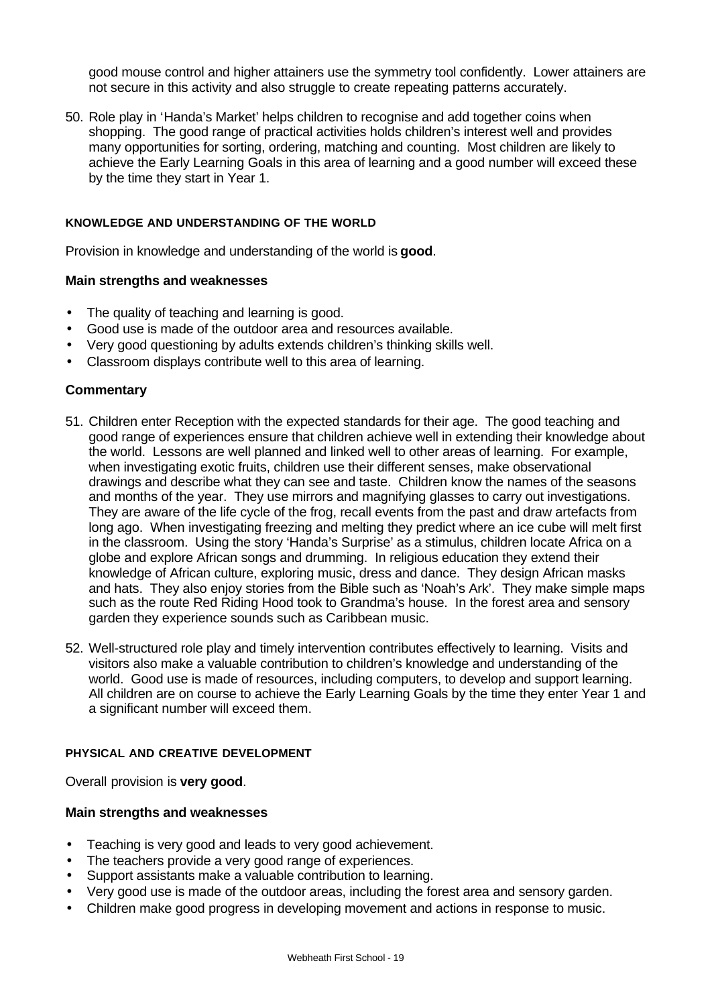good mouse control and higher attainers use the symmetry tool confidently. Lower attainers are not secure in this activity and also struggle to create repeating patterns accurately.

50. Role play in 'Handa's Market' helps children to recognise and add together coins when shopping. The good range of practical activities holds children's interest well and provides many opportunities for sorting, ordering, matching and counting. Most children are likely to achieve the Early Learning Goals in this area of learning and a good number will exceed these by the time they start in Year 1.

#### **KNOWLEDGE AND UNDERSTANDING OF THE WORLD**

Provision in knowledge and understanding of the world is **good**.

#### **Main strengths and weaknesses**

- The quality of teaching and learning is good.
- Good use is made of the outdoor area and resources available.
- Very good questioning by adults extends children's thinking skills well.
- Classroom displays contribute well to this area of learning.

## **Commentary**

- 51. Children enter Reception with the expected standards for their age. The good teaching and good range of experiences ensure that children achieve well in extending their knowledge about the world. Lessons are well planned and linked well to other areas of learning. For example, when investigating exotic fruits, children use their different senses, make observational drawings and describe what they can see and taste. Children know the names of the seasons and months of the year. They use mirrors and magnifying glasses to carry out investigations. They are aware of the life cycle of the frog, recall events from the past and draw artefacts from long ago. When investigating freezing and melting they predict where an ice cube will melt first in the classroom. Using the story 'Handa's Surprise' as a stimulus, children locate Africa on a globe and explore African songs and drumming. In religious education they extend their knowledge of African culture, exploring music, dress and dance. They design African masks and hats. They also enjoy stories from the Bible such as 'Noah's Ark'. They make simple maps such as the route Red Riding Hood took to Grandma's house. In the forest area and sensory garden they experience sounds such as Caribbean music.
- 52. Well-structured role play and timely intervention contributes effectively to learning. Visits and visitors also make a valuable contribution to children's knowledge and understanding of the world. Good use is made of resources, including computers, to develop and support learning. All children are on course to achieve the Early Learning Goals by the time they enter Year 1 and a significant number will exceed them.

#### **PHYSICAL AND CREATIVE DEVELOPMENT**

Overall provision is **very good**.

## **Main strengths and weaknesses**

- Teaching is very good and leads to very good achievement.
- The teachers provide a very good range of experiences.
- Support assistants make a valuable contribution to learning.
- Very good use is made of the outdoor areas, including the forest area and sensory garden.
- Children make good progress in developing movement and actions in response to music.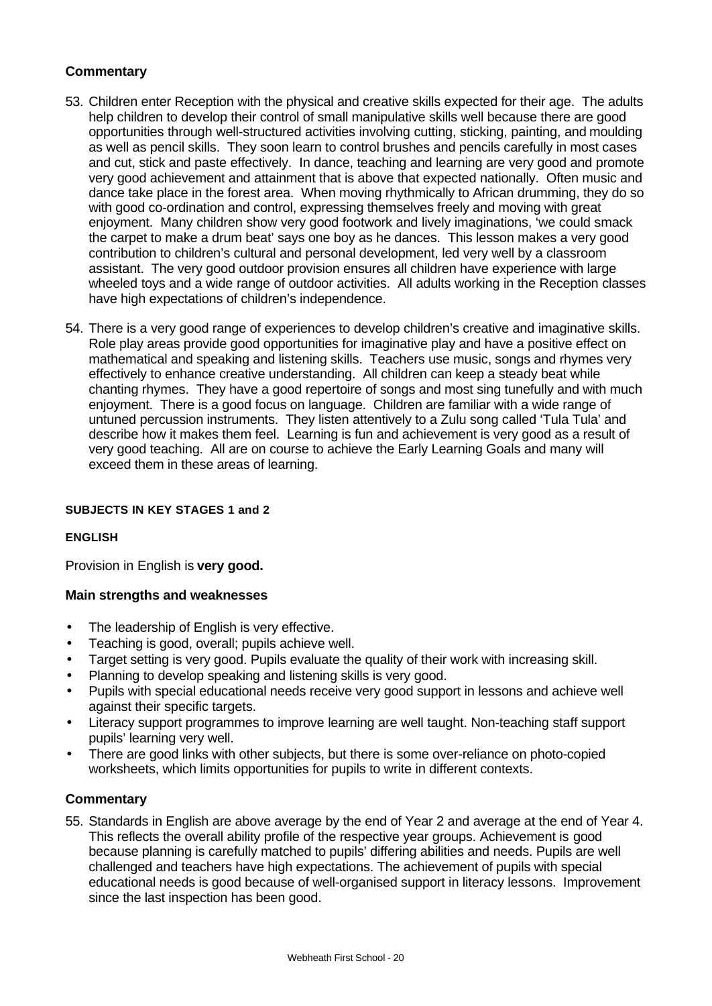# **Commentary**

- 53. Children enter Reception with the physical and creative skills expected for their age. The adults help children to develop their control of small manipulative skills well because there are good opportunities through well-structured activities involving cutting, sticking, painting, and moulding as well as pencil skills. They soon learn to control brushes and pencils carefully in most cases and cut, stick and paste effectively. In dance, teaching and learning are very good and promote very good achievement and attainment that is above that expected nationally. Often music and dance take place in the forest area. When moving rhythmically to African drumming, they do so with good co-ordination and control, expressing themselves freely and moving with great enjoyment. Many children show very good footwork and lively imaginations, 'we could smack the carpet to make a drum beat' says one boy as he dances. This lesson makes a very good contribution to children's cultural and personal development, led very well by a classroom assistant. The very good outdoor provision ensures all children have experience with large wheeled toys and a wide range of outdoor activities. All adults working in the Reception classes have high expectations of children's independence.
- 54. There is a very good range of experiences to develop children's creative and imaginative skills. Role play areas provide good opportunities for imaginative play and have a positive effect on mathematical and speaking and listening skills. Teachers use music, songs and rhymes very effectively to enhance creative understanding. All children can keep a steady beat while chanting rhymes. They have a good repertoire of songs and most sing tunefully and with much enjoyment. There is a good focus on language. Children are familiar with a wide range of untuned percussion instruments. They listen attentively to a Zulu song called 'Tula Tula' and describe how it makes them feel. Learning is fun and achievement is very good as a result of very good teaching. All are on course to achieve the Early Learning Goals and many will exceed them in these areas of learning.

### **SUBJECTS IN KEY STAGES 1 and 2**

#### **ENGLISH**

Provision in English is **very good.**

#### **Main strengths and weaknesses**

- The leadership of English is very effective.
- Teaching is good, overall; pupils achieve well.
- Target setting is very good. Pupils evaluate the quality of their work with increasing skill.
- Planning to develop speaking and listening skills is very good.
- Pupils with special educational needs receive very good support in lessons and achieve well against their specific targets.
- Literacy support programmes to improve learning are well taught. Non-teaching staff support pupils' learning very well.
- There are good links with other subjects, but there is some over-reliance on photo-copied worksheets, which limits opportunities for pupils to write in different contexts.

#### **Commentary**

55. Standards in English are above average by the end of Year 2 and average at the end of Year 4. This reflects the overall ability profile of the respective year groups. Achievement is good because planning is carefully matched to pupils' differing abilities and needs. Pupils are well challenged and teachers have high expectations. The achievement of pupils with special educational needs is good because of well-organised support in literacy lessons. Improvement since the last inspection has been good.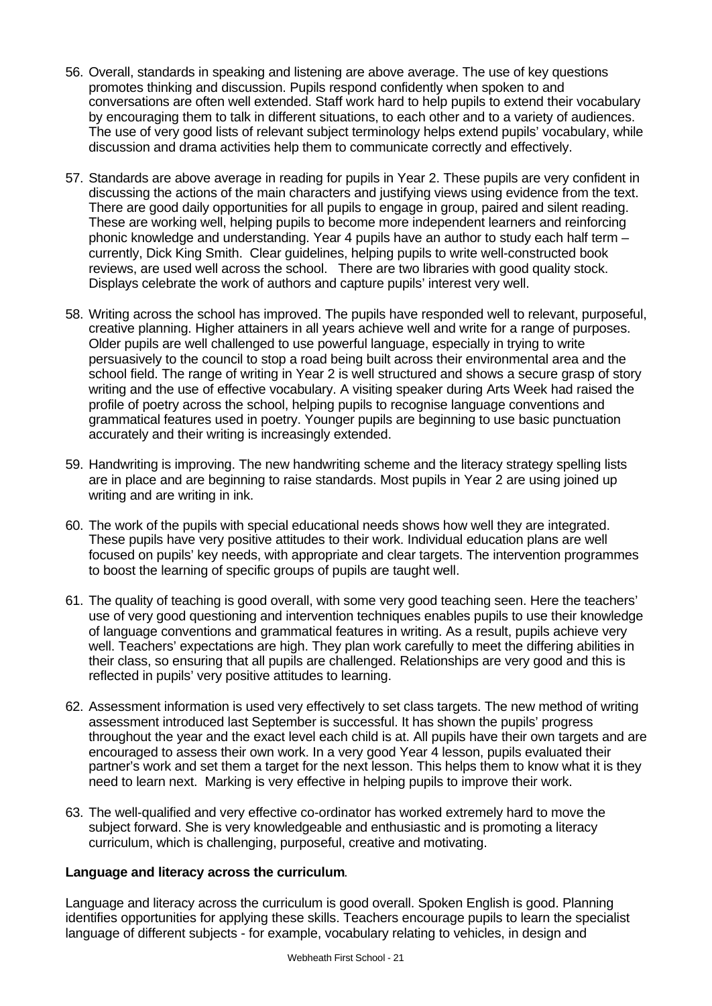- 56. Overall, standards in speaking and listening are above average. The use of key questions promotes thinking and discussion. Pupils respond confidently when spoken to and conversations are often well extended. Staff work hard to help pupils to extend their vocabulary by encouraging them to talk in different situations, to each other and to a variety of audiences. The use of very good lists of relevant subject terminology helps extend pupils' vocabulary, while discussion and drama activities help them to communicate correctly and effectively.
- 57. Standards are above average in reading for pupils in Year 2. These pupils are very confident in discussing the actions of the main characters and justifying views using evidence from the text. There are good daily opportunities for all pupils to engage in group, paired and silent reading. These are working well, helping pupils to become more independent learners and reinforcing phonic knowledge and understanding. Year 4 pupils have an author to study each half term – currently, Dick King Smith. Clear guidelines, helping pupils to write well-constructed book reviews, are used well across the school. There are two libraries with good quality stock. Displays celebrate the work of authors and capture pupils' interest very well.
- 58. Writing across the school has improved. The pupils have responded well to relevant, purposeful, creative planning. Higher attainers in all years achieve well and write for a range of purposes. Older pupils are well challenged to use powerful language, especially in trying to write persuasively to the council to stop a road being built across their environmental area and the school field. The range of writing in Year 2 is well structured and shows a secure grasp of story writing and the use of effective vocabulary. A visiting speaker during Arts Week had raised the profile of poetry across the school, helping pupils to recognise language conventions and grammatical features used in poetry. Younger pupils are beginning to use basic punctuation accurately and their writing is increasingly extended.
- 59. Handwriting is improving. The new handwriting scheme and the literacy strategy spelling lists are in place and are beginning to raise standards. Most pupils in Year 2 are using joined up writing and are writing in ink.
- 60. The work of the pupils with special educational needs shows how well they are integrated. These pupils have very positive attitudes to their work. Individual education plans are well focused on pupils' key needs, with appropriate and clear targets. The intervention programmes to boost the learning of specific groups of pupils are taught well.
- 61. The quality of teaching is good overall, with some very good teaching seen. Here the teachers' use of very good questioning and intervention techniques enables pupils to use their knowledge of language conventions and grammatical features in writing. As a result, pupils achieve very well. Teachers' expectations are high. They plan work carefully to meet the differing abilities in their class, so ensuring that all pupils are challenged. Relationships are very good and this is reflected in pupils' very positive attitudes to learning.
- 62. Assessment information is used very effectively to set class targets. The new method of writing assessment introduced last September is successful. It has shown the pupils' progress throughout the year and the exact level each child is at. All pupils have their own targets and are encouraged to assess their own work. In a very good Year 4 lesson, pupils evaluated their partner's work and set them a target for the next lesson. This helps them to know what it is they need to learn next. Marking is very effective in helping pupils to improve their work.
- 63. The well-qualified and very effective co-ordinator has worked extremely hard to move the subject forward. She is very knowledgeable and enthusiastic and is promoting a literacy curriculum, which is challenging, purposeful, creative and motivating.

## **Language and literacy across the curriculum**.

Language and literacy across the curriculum is good overall. Spoken English is good. Planning identifies opportunities for applying these skills. Teachers encourage pupils to learn the specialist language of different subjects - for example, vocabulary relating to vehicles, in design and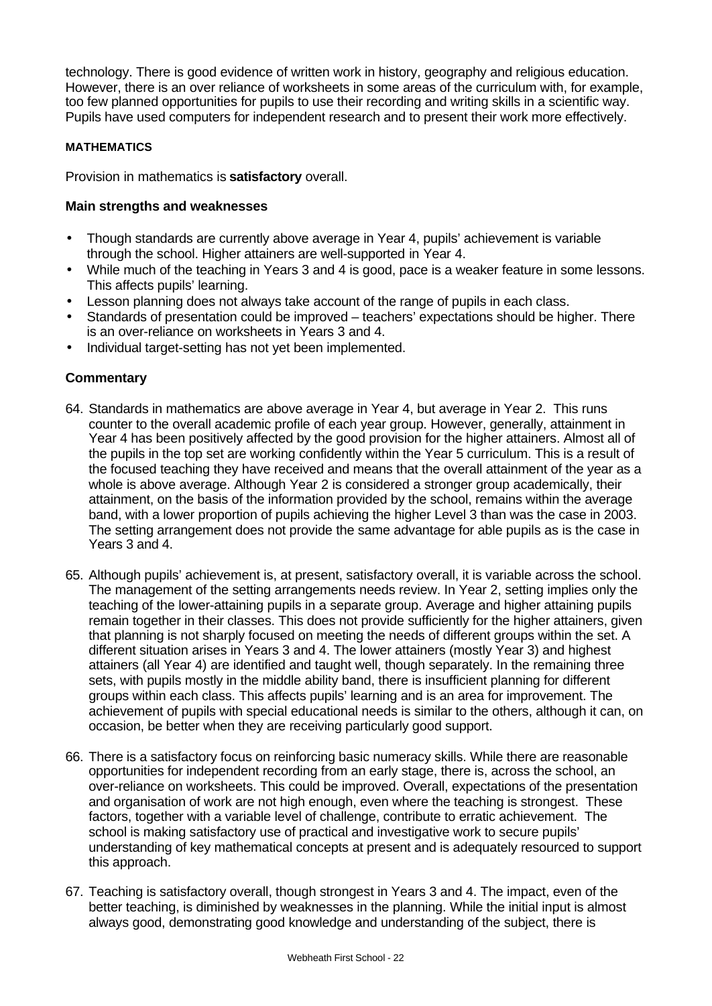technology. There is good evidence of written work in history, geography and religious education. However, there is an over reliance of worksheets in some areas of the curriculum with, for example, too few planned opportunities for pupils to use their recording and writing skills in a scientific way. Pupils have used computers for independent research and to present their work more effectively.

## **MATHEMATICS**

Provision in mathematics is **satisfactory** overall.

## **Main strengths and weaknesses**

- Though standards are currently above average in Year 4, pupils' achievement is variable through the school. Higher attainers are well-supported in Year 4.
- While much of the teaching in Years 3 and 4 is good, pace is a weaker feature in some lessons. This affects pupils' learning.
- Lesson planning does not always take account of the range of pupils in each class.
- Standards of presentation could be improved teachers' expectations should be higher. There is an over-reliance on worksheets in Years 3 and 4.
- Individual target-setting has not yet been implemented.

- 64. Standards in mathematics are above average in Year 4, but average in Year 2. This runs counter to the overall academic profile of each year group. However, generally, attainment in Year 4 has been positively affected by the good provision for the higher attainers. Almost all of the pupils in the top set are working confidently within the Year 5 curriculum. This is a result of the focused teaching they have received and means that the overall attainment of the year as a whole is above average. Although Year 2 is considered a stronger group academically, their attainment, on the basis of the information provided by the school, remains within the average band, with a lower proportion of pupils achieving the higher Level 3 than was the case in 2003. The setting arrangement does not provide the same advantage for able pupils as is the case in Years 3 and 4.
- 65. Although pupils' achievement is, at present, satisfactory overall, it is variable across the school. The management of the setting arrangements needs review. In Year 2, setting implies only the teaching of the lower-attaining pupils in a separate group. Average and higher attaining pupils remain together in their classes. This does not provide sufficiently for the higher attainers, given that planning is not sharply focused on meeting the needs of different groups within the set. A different situation arises in Years 3 and 4. The lower attainers (mostly Year 3) and highest attainers (all Year 4) are identified and taught well, though separately. In the remaining three sets, with pupils mostly in the middle ability band, there is insufficient planning for different groups within each class. This affects pupils' learning and is an area for improvement. The achievement of pupils with special educational needs is similar to the others, although it can, on occasion, be better when they are receiving particularly good support.
- 66. There is a satisfactory focus on reinforcing basic numeracy skills. While there are reasonable opportunities for independent recording from an early stage, there is, across the school, an over-reliance on worksheets. This could be improved. Overall, expectations of the presentation and organisation of work are not high enough, even where the teaching is strongest. These factors, together with a variable level of challenge, contribute to erratic achievement. The school is making satisfactory use of practical and investigative work to secure pupils' understanding of key mathematical concepts at present and is adequately resourced to support this approach.
- 67. Teaching is satisfactory overall, though strongest in Years 3 and 4. The impact, even of the better teaching, is diminished by weaknesses in the planning. While the initial input is almost always good, demonstrating good knowledge and understanding of the subject, there is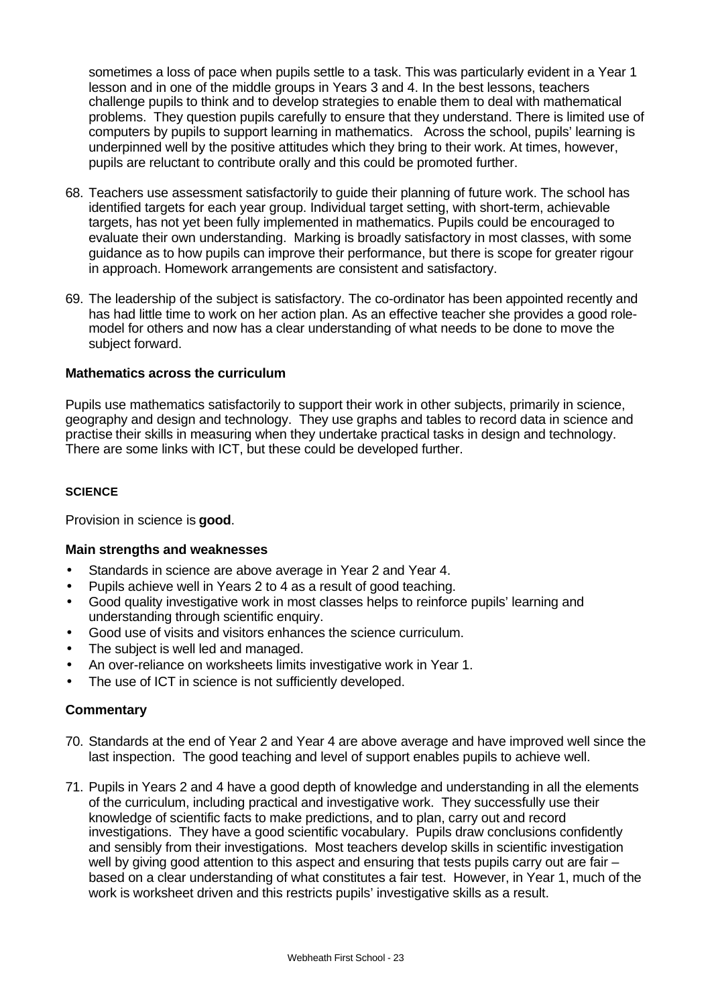sometimes a loss of pace when pupils settle to a task. This was particularly evident in a Year 1 lesson and in one of the middle groups in Years 3 and 4. In the best lessons, teachers challenge pupils to think and to develop strategies to enable them to deal with mathematical problems. They question pupils carefully to ensure that they understand. There is limited use of computers by pupils to support learning in mathematics. Across the school, pupils' learning is underpinned well by the positive attitudes which they bring to their work. At times, however, pupils are reluctant to contribute orally and this could be promoted further.

- 68. Teachers use assessment satisfactorily to guide their planning of future work. The school has identified targets for each year group. Individual target setting, with short-term, achievable targets, has not yet been fully implemented in mathematics. Pupils could be encouraged to evaluate their own understanding. Marking is broadly satisfactory in most classes, with some guidance as to how pupils can improve their performance, but there is scope for greater rigour in approach. Homework arrangements are consistent and satisfactory.
- 69. The leadership of the subject is satisfactory. The co-ordinator has been appointed recently and has had little time to work on her action plan. As an effective teacher she provides a good rolemodel for others and now has a clear understanding of what needs to be done to move the subject forward.

## **Mathematics across the curriculum**

Pupils use mathematics satisfactorily to support their work in other subjects, primarily in science, geography and design and technology. They use graphs and tables to record data in science and practise their skills in measuring when they undertake practical tasks in design and technology. There are some links with ICT, but these could be developed further.

#### **SCIENCE**

Provision in science is **good**.

## **Main strengths and weaknesses**

- Standards in science are above average in Year 2 and Year 4.
- Pupils achieve well in Years 2 to 4 as a result of good teaching.
- Good quality investigative work in most classes helps to reinforce pupils' learning and understanding through scientific enquiry.
- Good use of visits and visitors enhances the science curriculum.
- The subject is well led and managed.
- An over-reliance on worksheets limits investigative work in Year 1.
- The use of ICT in science is not sufficiently developed.

- 70. Standards at the end of Year 2 and Year 4 are above average and have improved well since the last inspection. The good teaching and level of support enables pupils to achieve well.
- 71. Pupils in Years 2 and 4 have a good depth of knowledge and understanding in all the elements of the curriculum, including practical and investigative work. They successfully use their knowledge of scientific facts to make predictions, and to plan, carry out and record investigations. They have a good scientific vocabulary. Pupils draw conclusions confidently and sensibly from their investigations. Most teachers develop skills in scientific investigation well by giving good attention to this aspect and ensuring that tests pupils carry out are fair – based on a clear understanding of what constitutes a fair test. However, in Year 1, much of the work is worksheet driven and this restricts pupils' investigative skills as a result.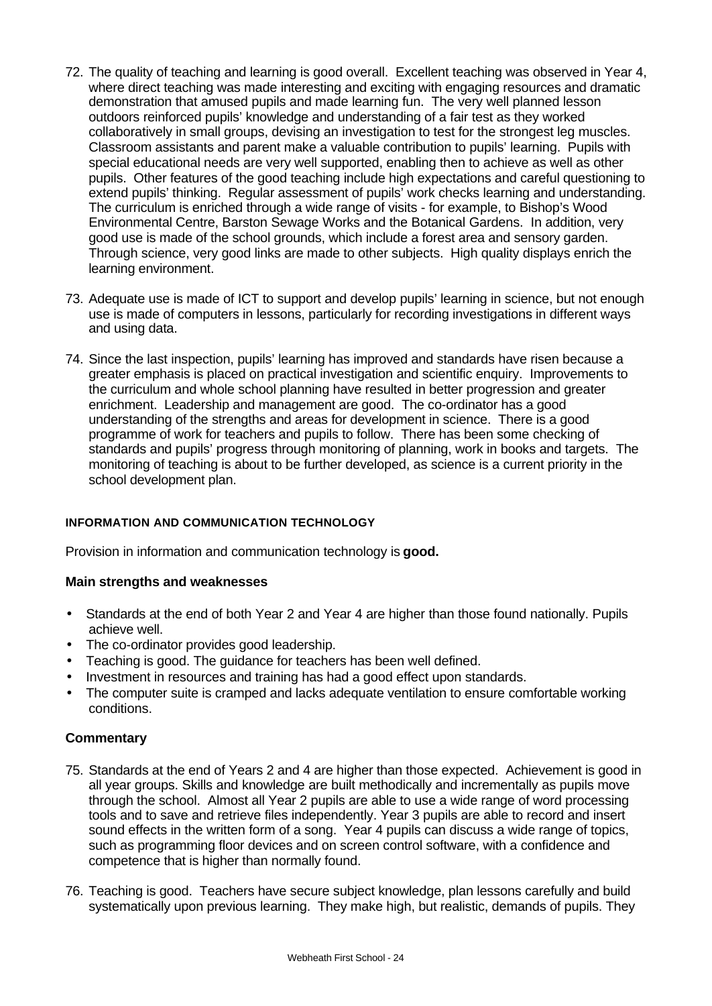- 72. The quality of teaching and learning is good overall. Excellent teaching was observed in Year 4, where direct teaching was made interesting and exciting with engaging resources and dramatic demonstration that amused pupils and made learning fun. The very well planned lesson outdoors reinforced pupils' knowledge and understanding of a fair test as they worked collaboratively in small groups, devising an investigation to test for the strongest leg muscles. Classroom assistants and parent make a valuable contribution to pupils' learning. Pupils with special educational needs are very well supported, enabling then to achieve as well as other pupils. Other features of the good teaching include high expectations and careful questioning to extend pupils' thinking. Regular assessment of pupils' work checks learning and understanding. The curriculum is enriched through a wide range of visits - for example, to Bishop's Wood Environmental Centre, Barston Sewage Works and the Botanical Gardens. In addition, very good use is made of the school grounds, which include a forest area and sensory garden. Through science, very good links are made to other subjects. High quality displays enrich the learning environment.
- 73. Adequate use is made of ICT to support and develop pupils' learning in science, but not enough use is made of computers in lessons, particularly for recording investigations in different ways and using data.
- 74. Since the last inspection, pupils' learning has improved and standards have risen because a greater emphasis is placed on practical investigation and scientific enquiry. Improvements to the curriculum and whole school planning have resulted in better progression and greater enrichment. Leadership and management are good. The co-ordinator has a good understanding of the strengths and areas for development in science. There is a good programme of work for teachers and pupils to follow. There has been some checking of standards and pupils' progress through monitoring of planning, work in books and targets. The monitoring of teaching is about to be further developed, as science is a current priority in the school development plan.

## **INFORMATION AND COMMUNICATION TECHNOLOGY**

Provision in information and communication technology is **good.**

## **Main strengths and weaknesses**

- Standards at the end of both Year 2 and Year 4 are higher than those found nationally. Pupils achieve well.
- The co-ordinator provides good leadership.
- Teaching is good. The guidance for teachers has been well defined.
- Investment in resources and training has had a good effect upon standards.
- The computer suite is cramped and lacks adequate ventilation to ensure comfortable working conditions.

- 75. Standards at the end of Years 2 and 4 are higher than those expected. Achievement is good in all year groups. Skills and knowledge are built methodically and incrementally as pupils move through the school. Almost all Year 2 pupils are able to use a wide range of word processing tools and to save and retrieve files independently. Year 3 pupils are able to record and insert sound effects in the written form of a song. Year 4 pupils can discuss a wide range of topics, such as programming floor devices and on screen control software, with a confidence and competence that is higher than normally found.
- 76. Teaching is good. Teachers have secure subject knowledge, plan lessons carefully and build systematically upon previous learning. They make high, but realistic, demands of pupils. They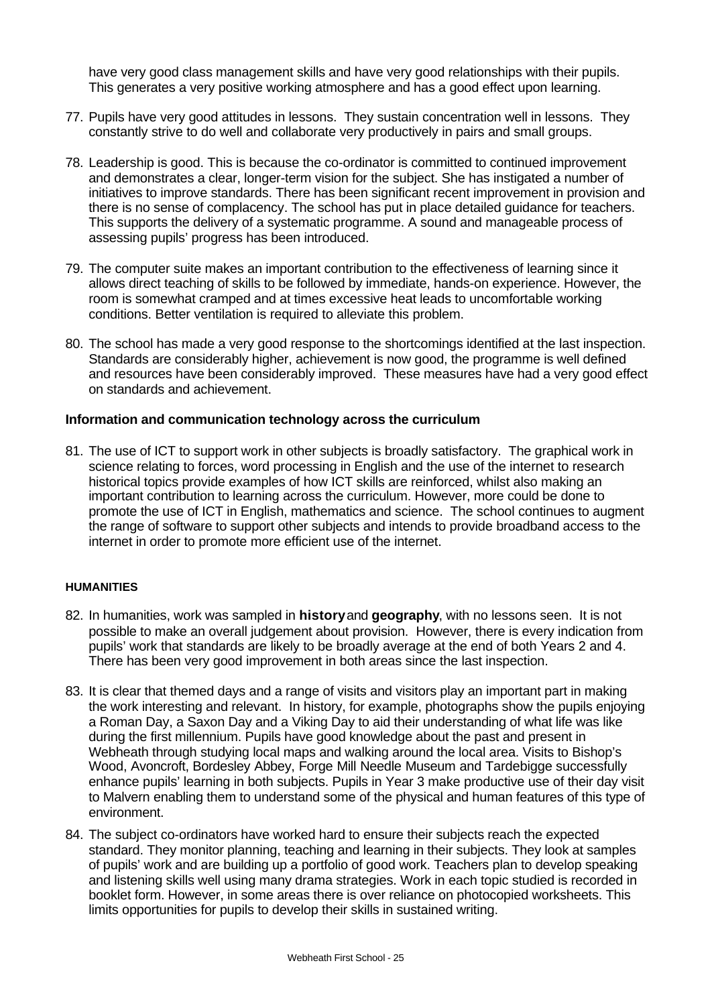have very good class management skills and have very good relationships with their pupils. This generates a very positive working atmosphere and has a good effect upon learning.

- 77. Pupils have very good attitudes in lessons. They sustain concentration well in lessons. They constantly strive to do well and collaborate very productively in pairs and small groups.
- 78. Leadership is good. This is because the co-ordinator is committed to continued improvement and demonstrates a clear, longer-term vision for the subject. She has instigated a number of initiatives to improve standards. There has been significant recent improvement in provision and there is no sense of complacency. The school has put in place detailed guidance for teachers. This supports the delivery of a systematic programme. A sound and manageable process of assessing pupils' progress has been introduced.
- 79. The computer suite makes an important contribution to the effectiveness of learning since it allows direct teaching of skills to be followed by immediate, hands-on experience. However, the room is somewhat cramped and at times excessive heat leads to uncomfortable working conditions. Better ventilation is required to alleviate this problem.
- 80. The school has made a very good response to the shortcomings identified at the last inspection. Standards are considerably higher, achievement is now good, the programme is well defined and resources have been considerably improved. These measures have had a very good effect on standards and achievement.

#### **Information and communication technology across the curriculum**

81. The use of ICT to support work in other subjects is broadly satisfactory. The graphical work in science relating to forces, word processing in English and the use of the internet to research historical topics provide examples of how ICT skills are reinforced, whilst also making an important contribution to learning across the curriculum. However, more could be done to promote the use of ICT in English, mathematics and science. The school continues to augment the range of software to support other subjects and intends to provide broadband access to the internet in order to promote more efficient use of the internet.

#### **HUMANITIES**

- 82. In humanities, work was sampled in **history** and **geography**, with no lessons seen. It is not possible to make an overall judgement about provision. However, there is every indication from pupils' work that standards are likely to be broadly average at the end of both Years 2 and 4. There has been very good improvement in both areas since the last inspection.
- 83. It is clear that themed days and a range of visits and visitors play an important part in making the work interesting and relevant. In history, for example, photographs show the pupils enjoying a Roman Day, a Saxon Day and a Viking Day to aid their understanding of what life was like during the first millennium. Pupils have good knowledge about the past and present in Webheath through studying local maps and walking around the local area. Visits to Bishop's Wood, Avoncroft, Bordesley Abbey, Forge Mill Needle Museum and Tardebigge successfully enhance pupils' learning in both subjects. Pupils in Year 3 make productive use of their day visit to Malvern enabling them to understand some of the physical and human features of this type of environment.
- 84. The subject co-ordinators have worked hard to ensure their subjects reach the expected standard. They monitor planning, teaching and learning in their subjects. They look at samples of pupils' work and are building up a portfolio of good work. Teachers plan to develop speaking and listening skills well using many drama strategies. Work in each topic studied is recorded in booklet form. However, in some areas there is over reliance on photocopied worksheets. This limits opportunities for pupils to develop their skills in sustained writing.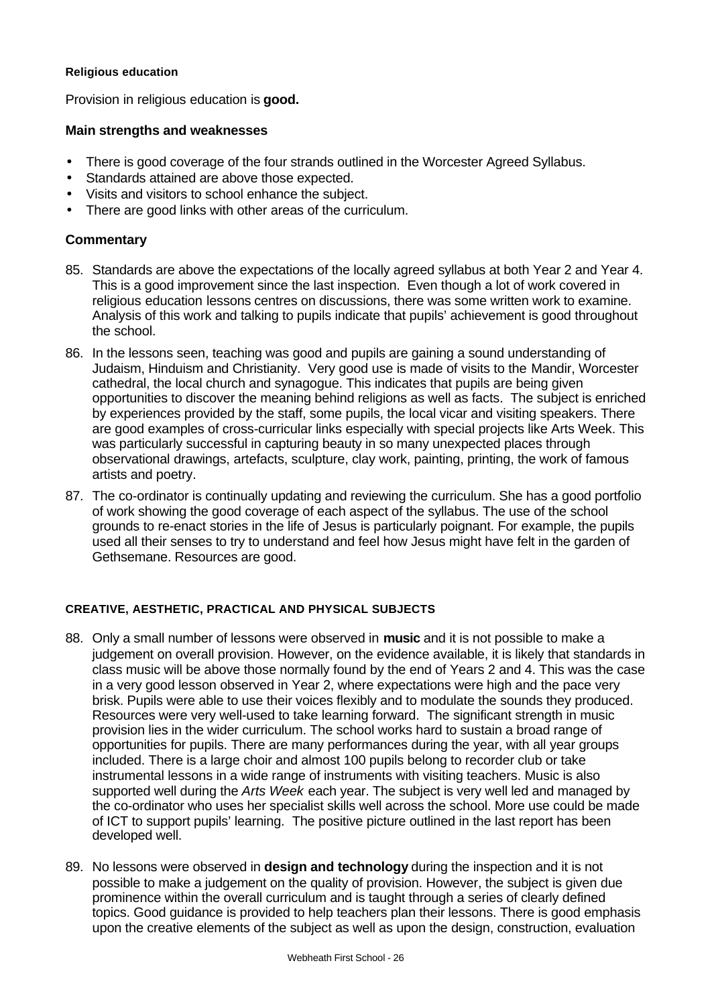#### **Religious education**

Provision in religious education is **good.**

## **Main strengths and weaknesses**

- There is good coverage of the four strands outlined in the Worcester Agreed Syllabus.
- Standards attained are above those expected.
- Visits and visitors to school enhance the subject.
- There are good links with other areas of the curriculum.

# **Commentary**

- 85. Standards are above the expectations of the locally agreed syllabus at both Year 2 and Year 4. This is a good improvement since the last inspection. Even though a lot of work covered in religious education lessons centres on discussions, there was some written work to examine. Analysis of this work and talking to pupils indicate that pupils' achievement is good throughout the school.
- 86. In the lessons seen, teaching was good and pupils are gaining a sound understanding of Judaism, Hinduism and Christianity. Very good use is made of visits to the Mandir, Worcester cathedral, the local church and synagogue. This indicates that pupils are being given opportunities to discover the meaning behind religions as well as facts. The subject is enriched by experiences provided by the staff, some pupils, the local vicar and visiting speakers. There are good examples of cross-curricular links especially with special projects like Arts Week. This was particularly successful in capturing beauty in so many unexpected places through observational drawings, artefacts, sculpture, clay work, painting, printing, the work of famous artists and poetry.
- 87. The co-ordinator is continually updating and reviewing the curriculum. She has a good portfolio of work showing the good coverage of each aspect of the syllabus. The use of the school grounds to re-enact stories in the life of Jesus is particularly poignant. For example, the pupils used all their senses to try to understand and feel how Jesus might have felt in the garden of Gethsemane. Resources are good.

## **CREATIVE, AESTHETIC, PRACTICAL AND PHYSICAL SUBJECTS**

- 88. Only a small number of lessons were observed in **music** and it is not possible to make a judgement on overall provision. However, on the evidence available, it is likely that standards in class music will be above those normally found by the end of Years 2 and 4. This was the case in a very good lesson observed in Year 2, where expectations were high and the pace very brisk. Pupils were able to use their voices flexibly and to modulate the sounds they produced. Resources were very well-used to take learning forward. The significant strength in music provision lies in the wider curriculum. The school works hard to sustain a broad range of opportunities for pupils. There are many performances during the year, with all year groups included. There is a large choir and almost 100 pupils belong to recorder club or take instrumental lessons in a wide range of instruments with visiting teachers. Music is also supported well during the *Arts Week* each year. The subject is very well led and managed by the co-ordinator who uses her specialist skills well across the school. More use could be made of ICT to support pupils' learning. The positive picture outlined in the last report has been developed well.
- 89. No lessons were observed in **design and technology** during the inspection and it is not possible to make a judgement on the quality of provision. However, the subject is given due prominence within the overall curriculum and is taught through a series of clearly defined topics. Good guidance is provided to help teachers plan their lessons. There is good emphasis upon the creative elements of the subject as well as upon the design, construction, evaluation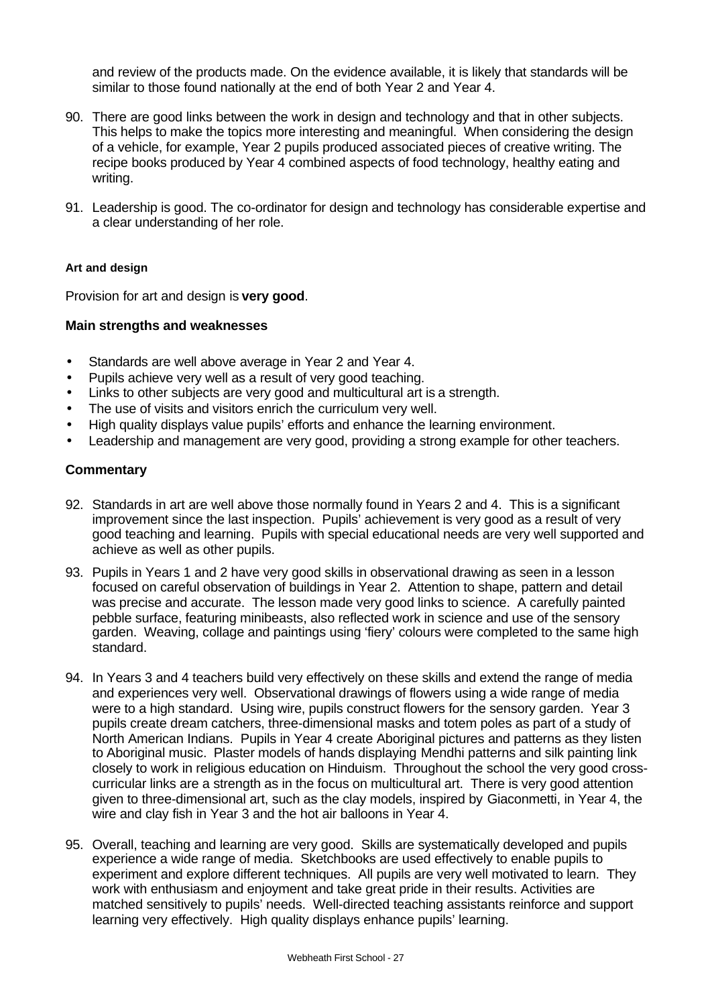and review of the products made. On the evidence available, it is likely that standards will be similar to those found nationally at the end of both Year 2 and Year 4.

- 90. There are good links between the work in design and technology and that in other subjects. This helps to make the topics more interesting and meaningful. When considering the design of a vehicle, for example, Year 2 pupils produced associated pieces of creative writing. The recipe books produced by Year 4 combined aspects of food technology, healthy eating and writing.
- 91. Leadership is good. The co-ordinator for design and technology has considerable expertise and a clear understanding of her role.

#### **Art and design**

Provision for art and design is **very good**.

#### **Main strengths and weaknesses**

- Standards are well above average in Year 2 and Year 4.
- Pupils achieve very well as a result of very good teaching.
- Links to other subjects are very good and multicultural art is a strength.
- The use of visits and visitors enrich the curriculum very well.
- High quality displays value pupils' efforts and enhance the learning environment.
- Leadership and management are very good, providing a strong example for other teachers.

- 92. Standards in art are well above those normally found in Years 2 and 4. This is a significant improvement since the last inspection. Pupils' achievement is very good as a result of very good teaching and learning. Pupils with special educational needs are very well supported and achieve as well as other pupils.
- 93. Pupils in Years 1 and 2 have very good skills in observational drawing as seen in a lesson focused on careful observation of buildings in Year 2. Attention to shape, pattern and detail was precise and accurate. The lesson made very good links to science. A carefully painted pebble surface, featuring minibeasts, also reflected work in science and use of the sensory garden. Weaving, collage and paintings using 'fiery' colours were completed to the same high standard.
- 94. In Years 3 and 4 teachers build very effectively on these skills and extend the range of media and experiences very well. Observational drawings of flowers using a wide range of media were to a high standard. Using wire, pupils construct flowers for the sensory garden. Year 3 pupils create dream catchers, three-dimensional masks and totem poles as part of a study of North American Indians. Pupils in Year 4 create Aboriginal pictures and patterns as they listen to Aboriginal music. Plaster models of hands displaying Mendhi patterns and silk painting link closely to work in religious education on Hinduism. Throughout the school the very good crosscurricular links are a strength as in the focus on multicultural art. There is very good attention given to three-dimensional art, such as the clay models, inspired by Giaconmetti, in Year 4, the wire and clay fish in Year 3 and the hot air balloons in Year 4.
- 95. Overall, teaching and learning are very good. Skills are systematically developed and pupils experience a wide range of media. Sketchbooks are used effectively to enable pupils to experiment and explore different techniques. All pupils are very well motivated to learn. They work with enthusiasm and enjoyment and take great pride in their results. Activities are matched sensitively to pupils' needs. Well-directed teaching assistants reinforce and support learning very effectively. High quality displays enhance pupils' learning.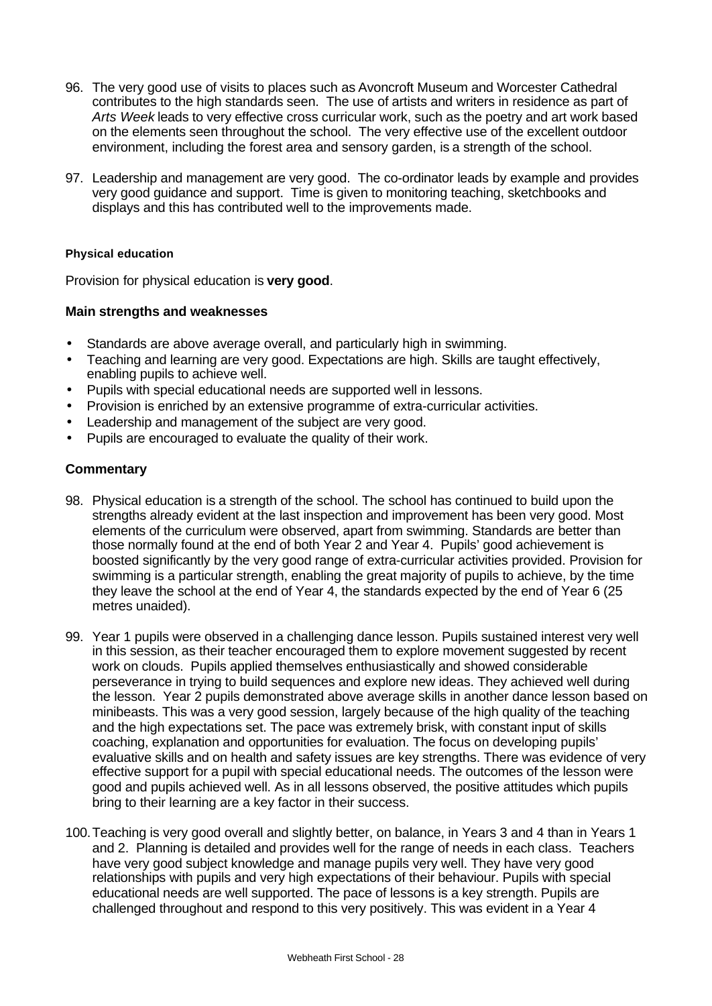- 96. The very good use of visits to places such as Avoncroft Museum and Worcester Cathedral contributes to the high standards seen. The use of artists and writers in residence as part of *Arts Week* leads to very effective cross curricular work, such as the poetry and art work based on the elements seen throughout the school. The very effective use of the excellent outdoor environment, including the forest area and sensory garden, is a strength of the school.
- 97. Leadership and management are very good. The co-ordinator leads by example and provides very good guidance and support. Time is given to monitoring teaching, sketchbooks and displays and this has contributed well to the improvements made.

### **Physical education**

Provision for physical education is **very good**.

#### **Main strengths and weaknesses**

- Standards are above average overall, and particularly high in swimming.
- Teaching and learning are very good. Expectations are high. Skills are taught effectively, enabling pupils to achieve well.
- Pupils with special educational needs are supported well in lessons.
- Provision is enriched by an extensive programme of extra-curricular activities.
- Leadership and management of the subject are very good.
- Pupils are encouraged to evaluate the quality of their work.

- 98. Physical education is a strength of the school. The school has continued to build upon the strengths already evident at the last inspection and improvement has been very good. Most elements of the curriculum were observed, apart from swimming. Standards are better than those normally found at the end of both Year 2 and Year 4. Pupils' good achievement is boosted significantly by the very good range of extra-curricular activities provided. Provision for swimming is a particular strength, enabling the great majority of pupils to achieve, by the time they leave the school at the end of Year 4, the standards expected by the end of Year 6 (25 metres unaided).
- 99. Year 1 pupils were observed in a challenging dance lesson. Pupils sustained interest very well in this session, as their teacher encouraged them to explore movement suggested by recent work on clouds. Pupils applied themselves enthusiastically and showed considerable perseverance in trying to build sequences and explore new ideas. They achieved well during the lesson. Year 2 pupils demonstrated above average skills in another dance lesson based on minibeasts. This was a very good session, largely because of the high quality of the teaching and the high expectations set. The pace was extremely brisk, with constant input of skills coaching, explanation and opportunities for evaluation. The focus on developing pupils' evaluative skills and on health and safety issues are key strengths. There was evidence of very effective support for a pupil with special educational needs. The outcomes of the lesson were good and pupils achieved well. As in all lessons observed, the positive attitudes which pupils bring to their learning are a key factor in their success.
- 100.Teaching is very good overall and slightly better, on balance, in Years 3 and 4 than in Years 1 and 2. Planning is detailed and provides well for the range of needs in each class. Teachers have very good subject knowledge and manage pupils very well. They have very good relationships with pupils and very high expectations of their behaviour. Pupils with special educational needs are well supported. The pace of lessons is a key strength. Pupils are challenged throughout and respond to this very positively. This was evident in a Year 4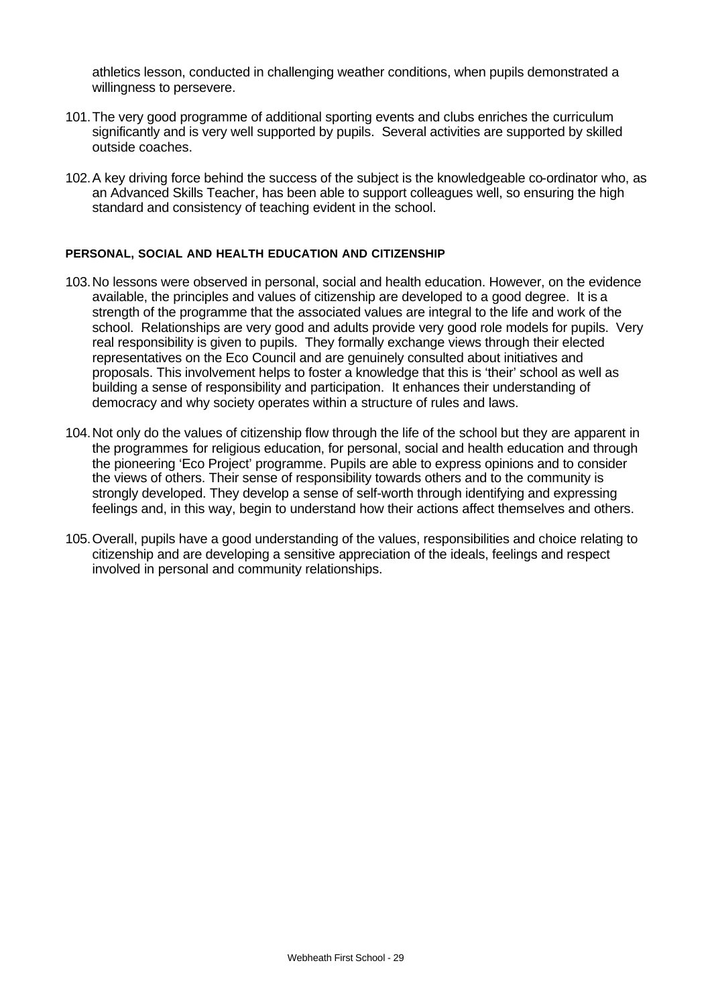athletics lesson, conducted in challenging weather conditions, when pupils demonstrated a willingness to persevere.

- 101.The very good programme of additional sporting events and clubs enriches the curriculum significantly and is very well supported by pupils. Several activities are supported by skilled outside coaches.
- 102.A key driving force behind the success of the subject is the knowledgeable co-ordinator who, as an Advanced Skills Teacher, has been able to support colleagues well, so ensuring the high standard and consistency of teaching evident in the school.

#### **PERSONAL, SOCIAL AND HEALTH EDUCATION AND CITIZENSHIP**

- 103.No lessons were observed in personal, social and health education. However, on the evidence available, the principles and values of citizenship are developed to a good degree. It is a strength of the programme that the associated values are integral to the life and work of the school. Relationships are very good and adults provide very good role models for pupils. Very real responsibility is given to pupils. They formally exchange views through their elected representatives on the Eco Council and are genuinely consulted about initiatives and proposals. This involvement helps to foster a knowledge that this is 'their' school as well as building a sense of responsibility and participation. It enhances their understanding of democracy and why society operates within a structure of rules and laws.
- 104.Not only do the values of citizenship flow through the life of the school but they are apparent in the programmes for religious education, for personal, social and health education and through the pioneering 'Eco Project' programme. Pupils are able to express opinions and to consider the views of others. Their sense of responsibility towards others and to the community is strongly developed. They develop a sense of self-worth through identifying and expressing feelings and, in this way, begin to understand how their actions affect themselves and others.
- 105.Overall, pupils have a good understanding of the values, responsibilities and choice relating to citizenship and are developing a sensitive appreciation of the ideals, feelings and respect involved in personal and community relationships.